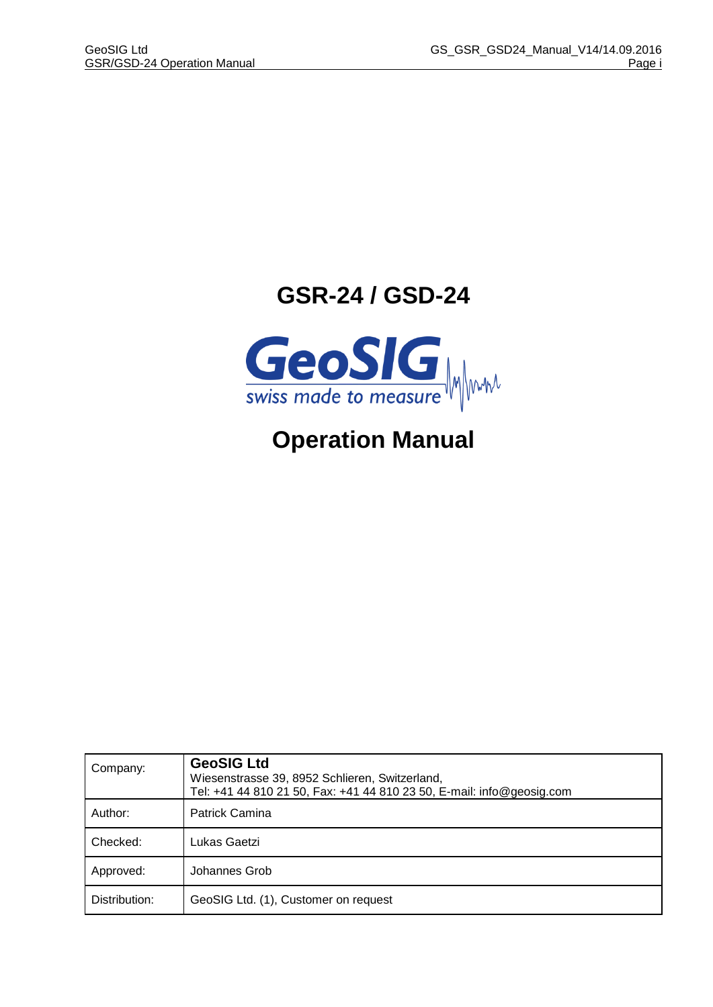# **GSR-24 / GSD-24**



# **Operation Manual**

| Company:      | <b>GeoSIG Ltd</b><br>Wiesenstrasse 39, 8952 Schlieren, Switzerland,<br>Tel: +41 44 810 21 50, Fax: +41 44 810 23 50, E-mail: info@geosig.com |
|---------------|----------------------------------------------------------------------------------------------------------------------------------------------|
| Author:       | <b>Patrick Camina</b>                                                                                                                        |
| Checked:      | Lukas Gaetzi                                                                                                                                 |
| Approved:     | Johannes Grob                                                                                                                                |
| Distribution: | GeoSIG Ltd. (1), Customer on request                                                                                                         |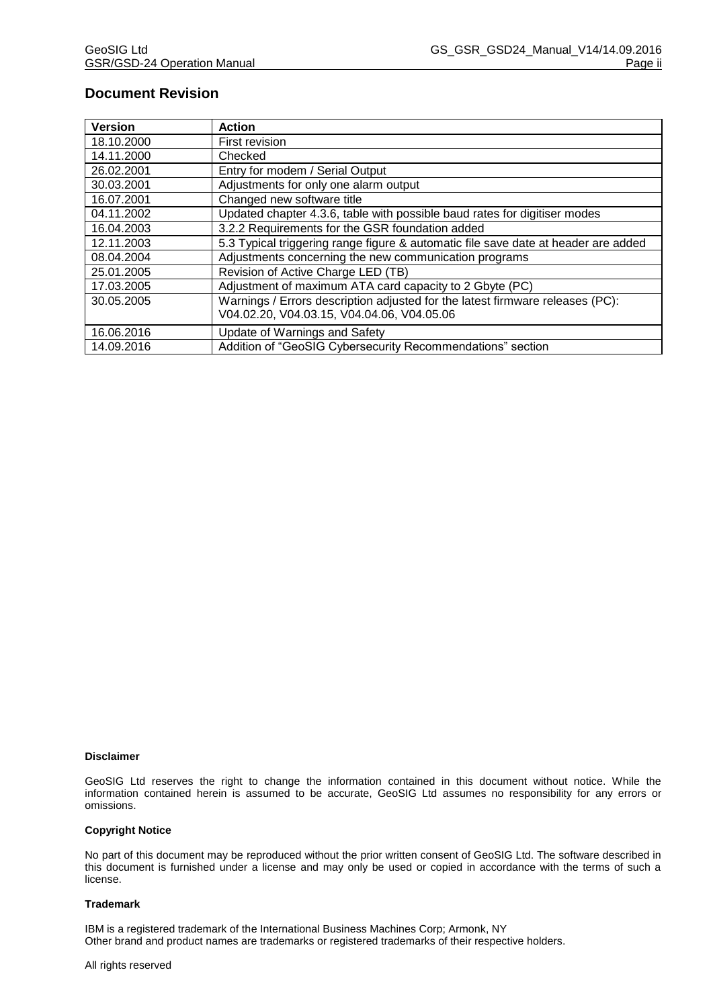# **Document Revision**

| <b>Version</b> | <b>Action</b>                                                                                                               |
|----------------|-----------------------------------------------------------------------------------------------------------------------------|
| 18.10.2000     | First revision                                                                                                              |
| 14.11.2000     | Checked                                                                                                                     |
| 26.02.2001     | Entry for modem / Serial Output                                                                                             |
| 30.03.2001     | Adjustments for only one alarm output                                                                                       |
| 16.07.2001     | Changed new software title                                                                                                  |
| 04.11.2002     | Updated chapter 4.3.6, table with possible baud rates for digitiser modes                                                   |
| 16.04.2003     | 3.2.2 Requirements for the GSR foundation added                                                                             |
| 12.11.2003     | 5.3 Typical triggering range figure & automatic file save date at header are added                                          |
| 08.04.2004     | Adjustments concerning the new communication programs                                                                       |
| 25.01.2005     | Revision of Active Charge LED (TB)                                                                                          |
| 17.03.2005     | Adjustment of maximum ATA card capacity to 2 Gbyte (PC)                                                                     |
| 30.05.2005     | Warnings / Errors description adjusted for the latest firmware releases (PC):<br>V04.02.20, V04.03.15, V04.04.06, V04.05.06 |
| 16.06.2016     | Update of Warnings and Safety                                                                                               |
| 14.09.2016     | Addition of "GeoSIG Cybersecurity Recommendations" section                                                                  |

#### **Disclaimer**

GeoSIG Ltd reserves the right to change the information contained in this document without notice. While the information contained herein is assumed to be accurate, GeoSIG Ltd assumes no responsibility for any errors or omissions.

#### **Copyright Notice**

No part of this document may be reproduced without the prior written consent of GeoSIG Ltd. The software described in this document is furnished under a license and may only be used or copied in accordance with the terms of such a license.

#### **Trademark**

IBM is a registered trademark of the International Business Machines Corp; Armonk, NY Other brand and product names are trademarks or registered trademarks of their respective holders.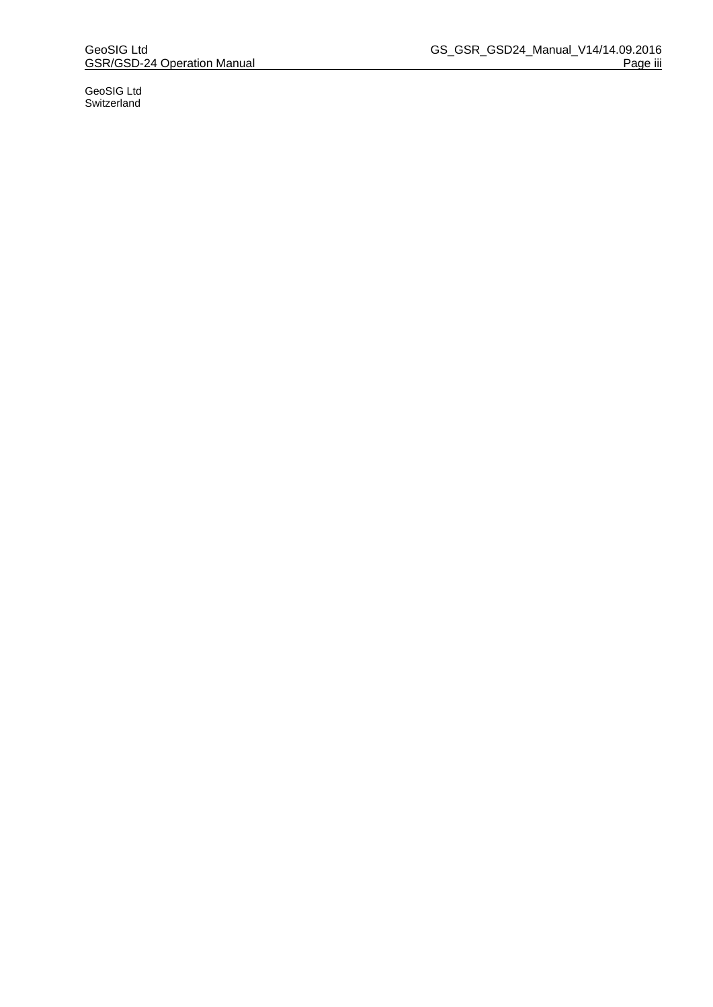GeoSIG Ltd Switzerland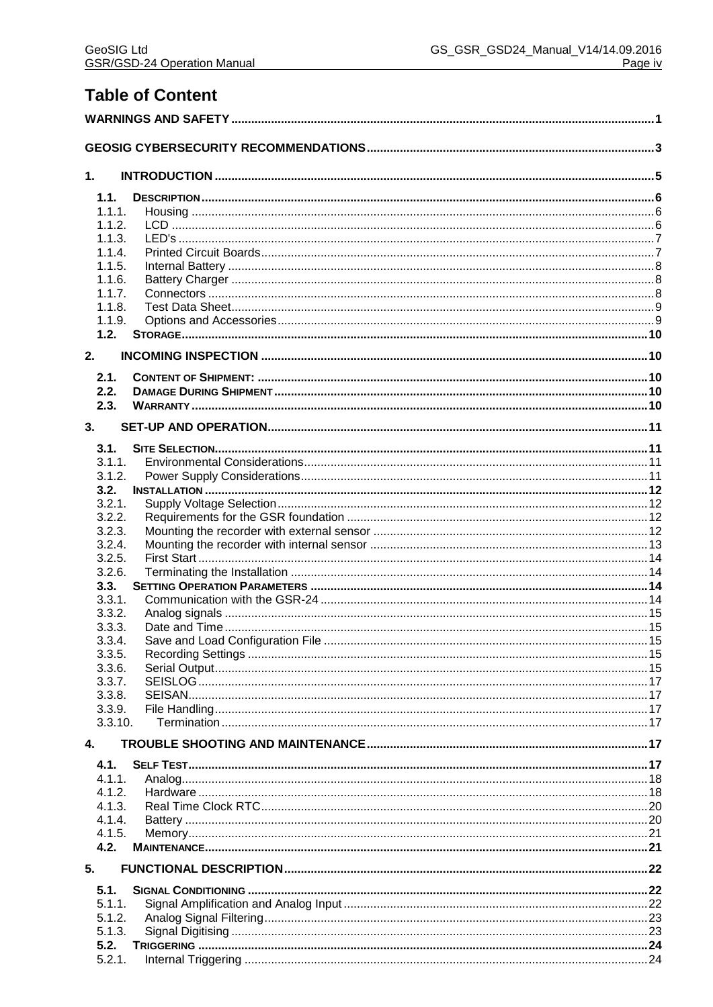# **Table of Content**

| $\mathbf 1$ . |                  |  |  |  |  |
|---------------|------------------|--|--|--|--|
|               | 1.1.             |  |  |  |  |
|               | 1.1.1.           |  |  |  |  |
|               | 1.1.2.           |  |  |  |  |
|               | 1.1.3.           |  |  |  |  |
|               | 1.1.4.<br>1.1.5. |  |  |  |  |
|               | 1.1.6.           |  |  |  |  |
|               | 1.1.7.           |  |  |  |  |
|               | 1.1.8.           |  |  |  |  |
|               | 1.1.9.           |  |  |  |  |
|               | 1.2.             |  |  |  |  |
| 2.            |                  |  |  |  |  |
|               | 2.1.             |  |  |  |  |
|               | 2.2.             |  |  |  |  |
|               | 2.3.             |  |  |  |  |
| 3.            |                  |  |  |  |  |
|               | 3.1.             |  |  |  |  |
|               | 3.1.1.           |  |  |  |  |
|               | 3.1.2.           |  |  |  |  |
|               | 3.2.             |  |  |  |  |
|               | 3.2.1.<br>3.2.2. |  |  |  |  |
|               | 3.2.3.           |  |  |  |  |
|               | 3.2.4.           |  |  |  |  |
|               | 3.2.5.           |  |  |  |  |
|               | 3.2.6.           |  |  |  |  |
|               | 3.3.             |  |  |  |  |
|               | 3.3.1.           |  |  |  |  |
|               | 3.3.2.           |  |  |  |  |
|               | 3.3.3.<br>3.3.4. |  |  |  |  |
|               | 3.3.5.           |  |  |  |  |
|               | 3.3.6.           |  |  |  |  |
|               | 3.3.7.           |  |  |  |  |
|               | 3.3.8.           |  |  |  |  |
|               | 3.3.9.           |  |  |  |  |
|               | 3.3.10.          |  |  |  |  |
| $\mathbf{4}$  |                  |  |  |  |  |
|               | 4.1.             |  |  |  |  |
|               | 4.1.1.           |  |  |  |  |
|               | 4.1.2.           |  |  |  |  |
|               | 4.1.3.           |  |  |  |  |
|               | 4.1.4.<br>4.1.5. |  |  |  |  |
|               | 4.2.             |  |  |  |  |
| 5.            |                  |  |  |  |  |
|               | 5.1.             |  |  |  |  |
|               | 5.1.1.           |  |  |  |  |
|               | 5.1.2.           |  |  |  |  |
|               | 5.1.3.           |  |  |  |  |
|               | 5.2.             |  |  |  |  |
|               | 5.2.1.           |  |  |  |  |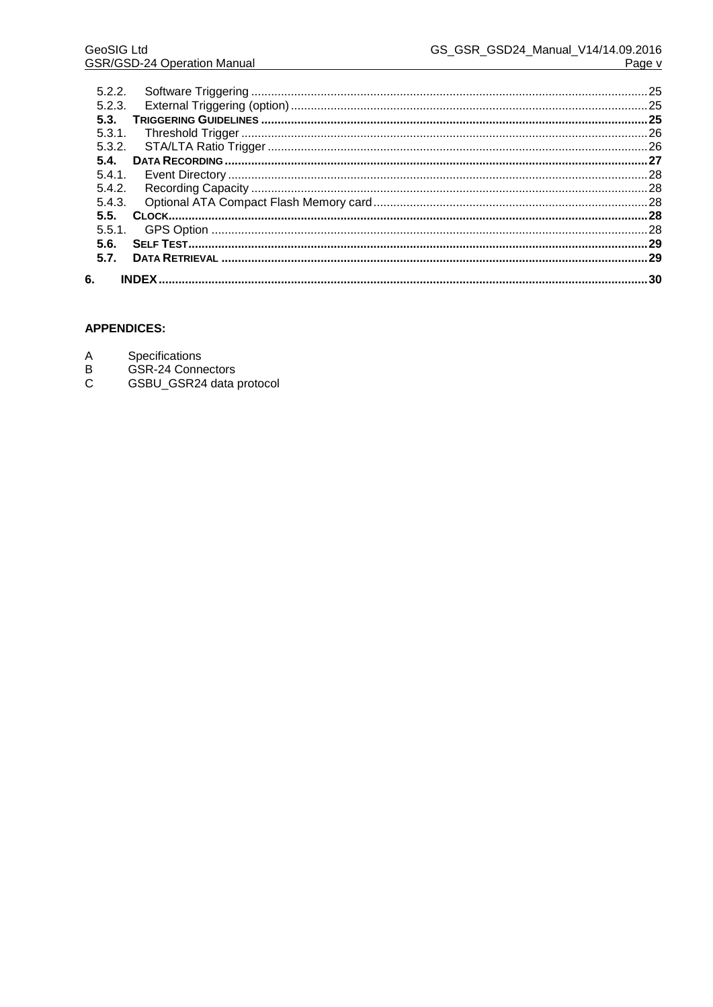| 5.2.2. |  |
|--------|--|
| 5.2.3. |  |
| 5.3.   |  |
| 5.3.1. |  |
|        |  |
| 5.4.   |  |
| 5.4.1. |  |
| 5.4.2. |  |
|        |  |
| 5.5.   |  |
|        |  |
| 5.6.   |  |
| 5.7.   |  |
|        |  |
| 6.     |  |

# **APPENDICES:**

- Specifications
- 
- $\begin{array}{c}\nA \\
B \\
C\n\end{array}$ GSR-24 Connectors<br>GSBU\_GSR24 data protocol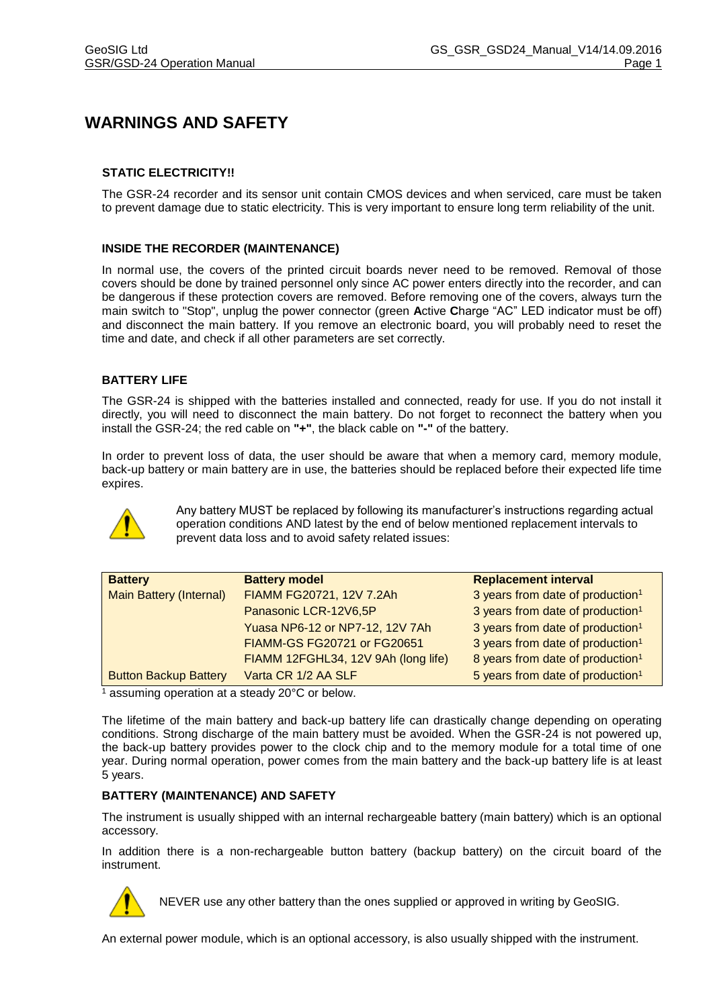# **WARNINGS AND SAFETY**

## **STATIC ELECTRICITY!!**

The GSR-24 recorder and its sensor unit contain CMOS devices and when serviced, care must be taken to prevent damage due to static electricity. This is very important to ensure long term reliability of the unit.

#### **INSIDE THE RECORDER (MAINTENANCE)**

In normal use, the covers of the printed circuit boards never need to be removed. Removal of those covers should be done by trained personnel only since AC power enters directly into the recorder, and can be dangerous if these protection covers are removed. Before removing one of the covers, always turn the main switch to "Stop", unplug the power connector (green **A**ctive **C**harge "AC" LED indicator must be off) and disconnect the main battery. If you remove an electronic board, you will probably need to reset the time and date, and check if all other parameters are set correctly.

#### **BATTERY LIFE**

The GSR-24 is shipped with the batteries installed and connected, ready for use. If you do not install it directly, you will need to disconnect the main battery. Do not forget to reconnect the battery when you install the GSR-24; the red cable on **"+"**, the black cable on **"-"** of the battery.

In order to prevent loss of data, the user should be aware that when a memory card, memory module, back-up battery or main battery are in use, the batteries should be replaced before their expected life time expires.



Any battery MUST be replaced by following its manufacturer's instructions regarding actual operation conditions AND latest by the end of below mentioned replacement intervals to prevent data loss and to avoid safety related issues:

| <b>Battery</b>                 | <b>Battery model</b>                | <b>Replacement interval</b>                  |
|--------------------------------|-------------------------------------|----------------------------------------------|
| <b>Main Battery (Internal)</b> | FIAMM FG20721, 12V 7.2Ah            | 3 years from date of production <sup>1</sup> |
|                                | Panasonic LCR-12V6,5P               | 3 years from date of production <sup>1</sup> |
|                                | Yuasa NP6-12 or NP7-12, 12V 7Ah     | 3 years from date of production <sup>1</sup> |
|                                | FIAMM-GS FG20721 or FG20651         | 3 years from date of production <sup>1</sup> |
|                                | FIAMM 12FGHL34, 12V 9Ah (long life) | 8 years from date of production <sup>1</sup> |
| <b>Button Backup Battery</b>   | Varta CR 1/2 AA SLF                 | 5 years from date of production <sup>1</sup> |

 $\frac{1}{1}$  assuming operation at a steady 20 $\degree$ C or below.

The lifetime of the main battery and back-up battery life can drastically change depending on operating conditions. Strong discharge of the main battery must be avoided. When the GSR-24 is not powered up, the back-up battery provides power to the clock chip and to the memory module for a total time of one year. During normal operation, power comes from the main battery and the back-up battery life is at least 5 years.

#### **BATTERY (MAINTENANCE) AND SAFETY**

The instrument is usually shipped with an internal rechargeable battery (main battery) which is an optional accessory.

In addition there is a non-rechargeable button battery (backup battery) on the circuit board of the instrument.



NEVER use any other battery than the ones supplied or approved in writing by GeoSIG.

An external power module, which is an optional accessory, is also usually shipped with the instrument.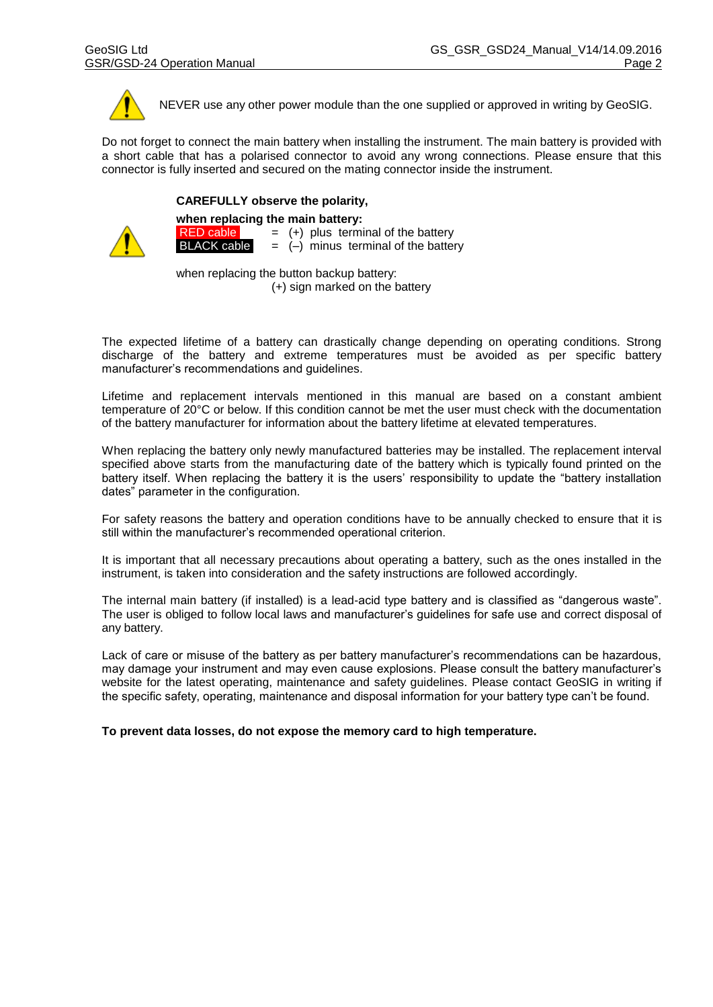

NEVER use any other power module than the one supplied or approved in writing by GeoSIG.

Do not forget to connect the main battery when installing the instrument. The main battery is provided with a short cable that has a polarised connector to avoid any wrong connections. Please ensure that this connector is fully inserted and secured on the mating connector inside the instrument.

#### **CAREFULLY observe the polarity,**



**when replacing the main battery: RED cable**  $= (+)$  plus terminal of the battery<br>**BLACK cable**  $= (-)$  minus terminal of the batter  $=$   $(-)$  minus terminal of the battery

when replacing the button backup battery:

(+) sign marked on the battery

The expected lifetime of a battery can drastically change depending on operating conditions. Strong discharge of the battery and extreme temperatures must be avoided as per specific battery manufacturer's recommendations and guidelines.

Lifetime and replacement intervals mentioned in this manual are based on a constant ambient temperature of 20°C or below. If this condition cannot be met the user must check with the documentation of the battery manufacturer for information about the battery lifetime at elevated temperatures.

When replacing the battery only newly manufactured batteries may be installed. The replacement interval specified above starts from the manufacturing date of the battery which is typically found printed on the battery itself. When replacing the battery it is the users' responsibility to update the "battery installation dates" parameter in the configuration.

For safety reasons the battery and operation conditions have to be annually checked to ensure that it is still within the manufacturer's recommended operational criterion.

It is important that all necessary precautions about operating a battery, such as the ones installed in the instrument, is taken into consideration and the safety instructions are followed accordingly.

The internal main battery (if installed) is a lead-acid type battery and is classified as "dangerous waste". The user is obliged to follow local laws and manufacturer's guidelines for safe use and correct disposal of any battery.

Lack of care or misuse of the battery as per battery manufacturer's recommendations can be hazardous, may damage your instrument and may even cause explosions. Please consult the battery manufacturer's website for the latest operating, maintenance and safety guidelines. Please contact GeoSIG in writing if the specific safety, operating, maintenance and disposal information for your battery type can't be found.

**To prevent data losses, do not expose the memory card to high temperature.**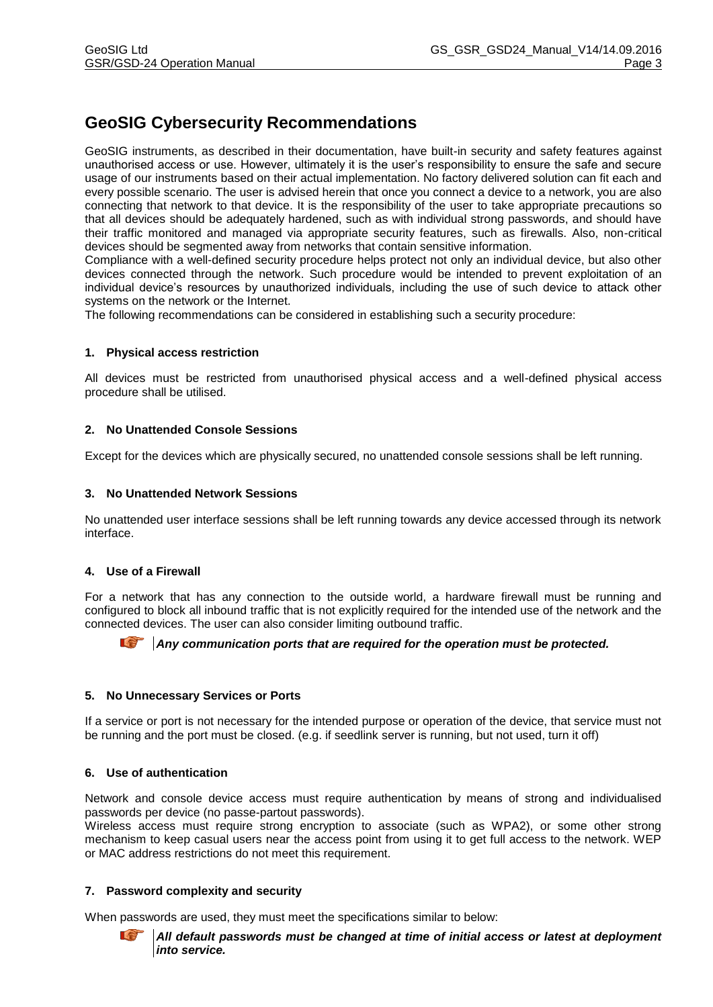# **GeoSIG Cybersecurity Recommendations**

GeoSIG instruments, as described in their documentation, have built-in security and safety features against unauthorised access or use. However, ultimately it is the user's responsibility to ensure the safe and secure usage of our instruments based on their actual implementation. No factory delivered solution can fit each and every possible scenario. The user is advised herein that once you connect a device to a network, you are also connecting that network to that device. It is the responsibility of the user to take appropriate precautions so that all devices should be adequately hardened, such as with individual strong passwords, and should have their traffic monitored and managed via appropriate security features, such as firewalls. Also, non-critical devices should be segmented away from networks that contain sensitive information.

Compliance with a well-defined security procedure helps protect not only an individual device, but also other devices connected through the network. Such procedure would be intended to prevent exploitation of an individual device's resources by unauthorized individuals, including the use of such device to attack other systems on the network or the Internet.

The following recommendations can be considered in establishing such a security procedure:

#### **1. Physical access restriction**

All devices must be restricted from unauthorised physical access and a well-defined physical access procedure shall be utilised.

#### **2. No Unattended Console Sessions**

Except for the devices which are physically secured, no unattended console sessions shall be left running.

#### **3. No Unattended Network Sessions**

No unattended user interface sessions shall be left running towards any device accessed through its network interface.

#### **4. Use of a Firewall**

For a network that has any connection to the outside world, a hardware firewall must be running and configured to block all inbound traffic that is not explicitly required for the intended use of the network and the connected devices. The user can also consider limiting outbound traffic.

**Any communication ports that are required for the operation must be protected.** 

#### **5. No Unnecessary Services or Ports**

If a service or port is not necessary for the intended purpose or operation of the device, that service must not be running and the port must be closed. (e.g. if seedlink server is running, but not used, turn it off)

#### **6. Use of authentication**

Network and console device access must require authentication by means of strong and individualised passwords per device (no passe-partout passwords).

Wireless access must require strong encryption to associate (such as WPA2), or some other strong mechanism to keep casual users near the access point from using it to get full access to the network. WEP or MAC address restrictions do not meet this requirement.

#### **7. Password complexity and security**

When passwords are used, they must meet the specifications similar to below:

*All default passwords must be changed at time of initial access or latest at deployment into service.*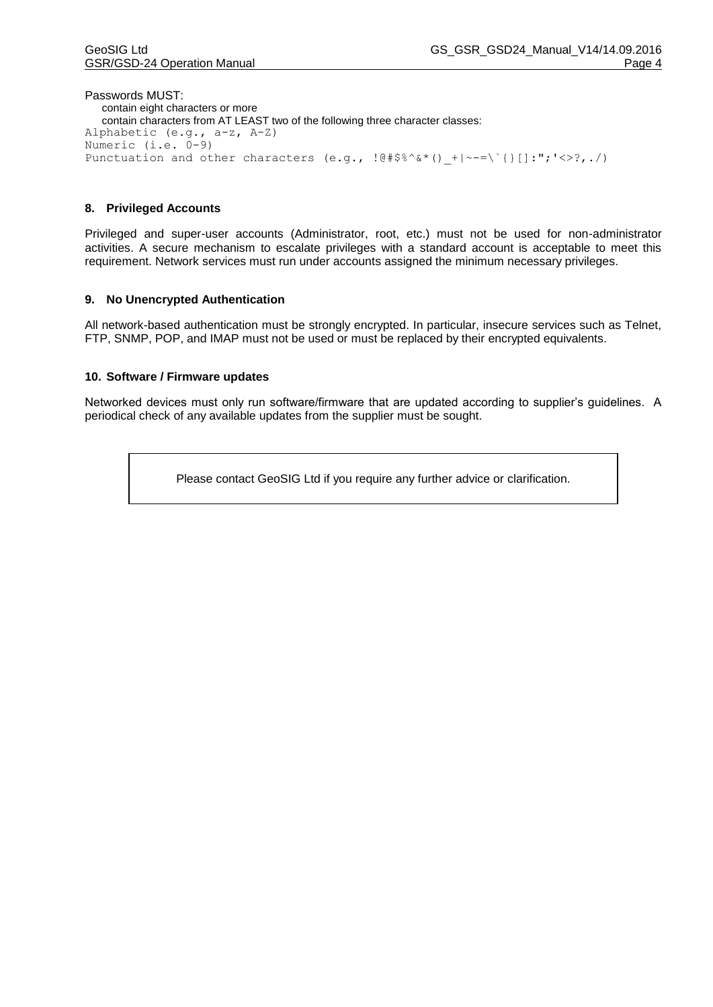Passwords MUST: contain eight characters or more contain characters from AT LEAST two of the following three character classes: Alphabetic (e.g., a-z, A-Z) Numeric (i.e. 0-9) Punctuation and other characters (e.g.,  $!@$ #\$%^&\*() +|~-=\`{}[]:";'<>?,./)

#### **8. Privileged Accounts**

Privileged and super-user accounts (Administrator, root, etc.) must not be used for non-administrator activities. A secure mechanism to escalate privileges with a standard account is acceptable to meet this requirement. Network services must run under accounts assigned the minimum necessary privileges.

#### **9. No Unencrypted Authentication**

All network-based authentication must be strongly encrypted. In particular, insecure services such as Telnet, FTP, SNMP, POP, and IMAP must not be used or must be replaced by their encrypted equivalents.

#### **10. Software / Firmware updates**

Networked devices must only run software/firmware that are updated according to supplier's guidelines. A periodical check of any available updates from the supplier must be sought.

Please contact GeoSIG Ltd if you require any further advice or clarification.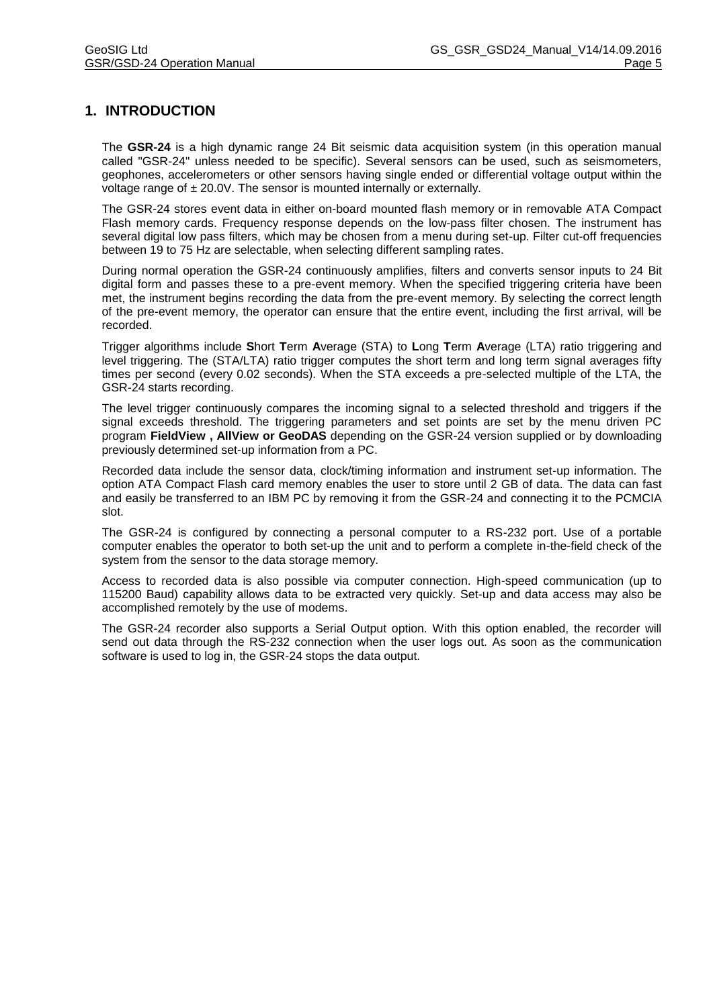# **1. INTRODUCTION**

The **GSR-24** is a high dynamic range 24 Bit seismic data acquisition system (in this operation manual called "GSR-24" unless needed to be specific). Several sensors can be used, such as seismometers, geophones, accelerometers or other sensors having single ended or differential voltage output within the voltage range of  $\pm 20.0V$ . The sensor is mounted internally or externally.

The GSR-24 stores event data in either on-board mounted flash memory or in removable ATA Compact Flash memory cards. Frequency response depends on the low-pass filter chosen. The instrument has several digital low pass filters, which may be chosen from a menu during set-up. Filter cut-off frequencies between 19 to 75 Hz are selectable, when selecting different sampling rates.

During normal operation the GSR-24 continuously amplifies, filters and converts sensor inputs to 24 Bit digital form and passes these to a pre-event memory. When the specified triggering criteria have been met, the instrument begins recording the data from the pre-event memory. By selecting the correct length of the pre-event memory, the operator can ensure that the entire event, including the first arrival, will be recorded.

Trigger algorithms include **S**hort **T**erm **A**verage (STA) to **L**ong **T**erm **A**verage (LTA) ratio triggering and level triggering. The (STA/LTA) ratio trigger computes the short term and long term signal averages fifty times per second (every 0.02 seconds). When the STA exceeds a pre-selected multiple of the LTA, the GSR-24 starts recording.

The level trigger continuously compares the incoming signal to a selected threshold and triggers if the signal exceeds threshold. The triggering parameters and set points are set by the menu driven PC program **FieldView , AllView or GeoDAS** depending on the GSR-24 version supplied or by downloading previously determined set-up information from a PC.

Recorded data include the sensor data, clock/timing information and instrument set-up information. The option ATA Compact Flash card memory enables the user to store until 2 GB of data. The data can fast and easily be transferred to an IBM PC by removing it from the GSR-24 and connecting it to the PCMCIA slot.

The GSR-24 is configured by connecting a personal computer to a RS-232 port. Use of a portable computer enables the operator to both set-up the unit and to perform a complete in-the-field check of the system from the sensor to the data storage memory.

Access to recorded data is also possible via computer connection. High-speed communication (up to 115200 Baud) capability allows data to be extracted very quickly. Set-up and data access may also be accomplished remotely by the use of modems.

The GSR-24 recorder also supports a Serial Output option. With this option enabled, the recorder will send out data through the RS-232 connection when the user logs out. As soon as the communication software is used to log in, the GSR-24 stops the data output.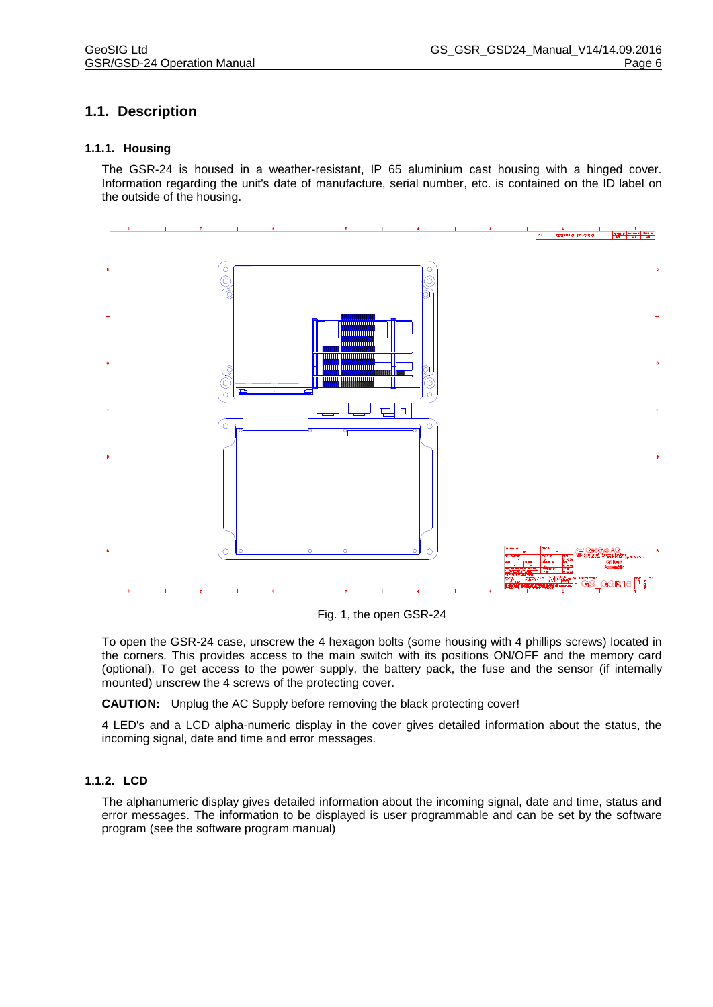# **1.1. Description**

#### **1.1.1. Housing**

The GSR-24 is housed in a weather-resistant, IP 65 aluminium cast housing with a hinged cover. Information regarding the unit's date of manufacture, serial number, etc. is contained on the ID label on the outside of the housing.



Fig. 1, the open GSR-24

To open the GSR-24 case, unscrew the 4 hexagon bolts (some housing with 4 phillips screws) located in the corners. This provides access to the main switch with its positions ON/OFF and the memory card (optional). To get access to the power supply, the battery pack, the fuse and the sensor (if internally mounted) unscrew the 4 screws of the protecting cover.

**CAUTION:** Unplug the AC Supply before removing the black protecting cover!

4 LED's and a LCD alpha-numeric display in the cover gives detailed information about the status, the incoming signal, date and time and error messages.

#### **1.1.2. LCD**

The alphanumeric display gives detailed information about the incoming signal, date and time, status and error messages. The information to be displayed is user programmable and can be set by the software program (see the software program manual)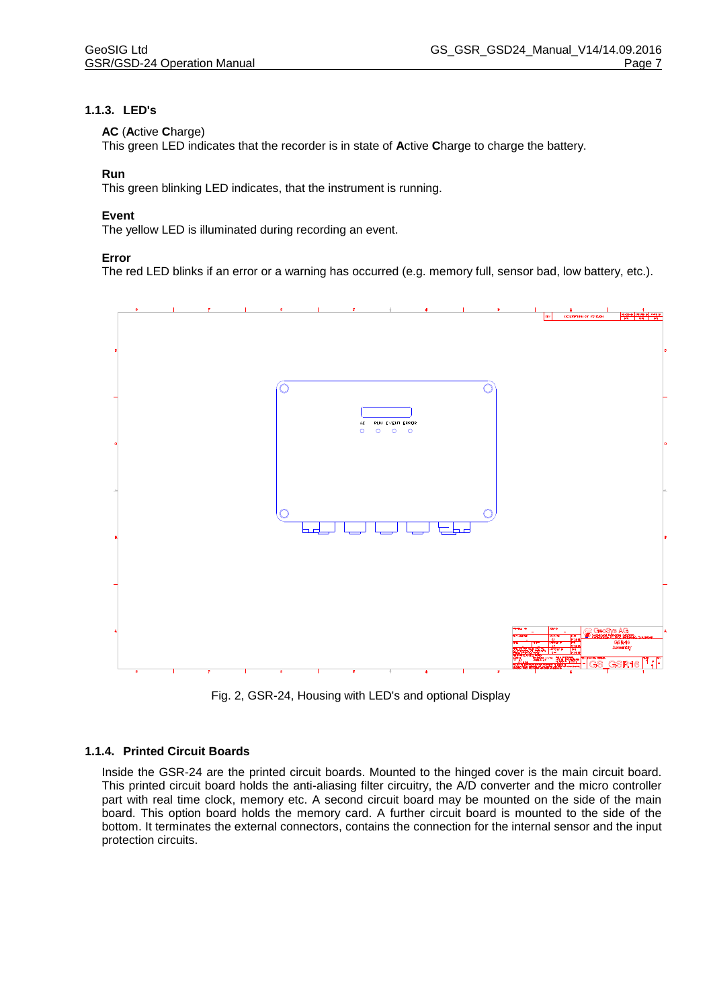## **1.1.3. LED's**

#### **AC** (**A**ctive **C**harge)

This green LED indicates that the recorder is in state of **A**ctive **C**harge to charge the battery.

#### **Run**

This green blinking LED indicates, that the instrument is running.

#### **Event**

The yellow LED is illuminated during recording an event.

#### **Error**

The red LED blinks if an error or a warning has occurred (e.g. memory full, sensor bad, low battery, etc.).



Fig. 2, GSR-24, Housing with LED's and optional Display

#### **1.1.4. Printed Circuit Boards**

Inside the GSR-24 are the printed circuit boards. Mounted to the hinged cover is the main circuit board. This printed circuit board holds the anti-aliasing filter circuitry, the A/D converter and the micro controller part with real time clock, memory etc. A second circuit board may be mounted on the side of the main board. This option board holds the memory card. A further circuit board is mounted to the side of the bottom. It terminates the external connectors, contains the connection for the internal sensor and the input protection circuits.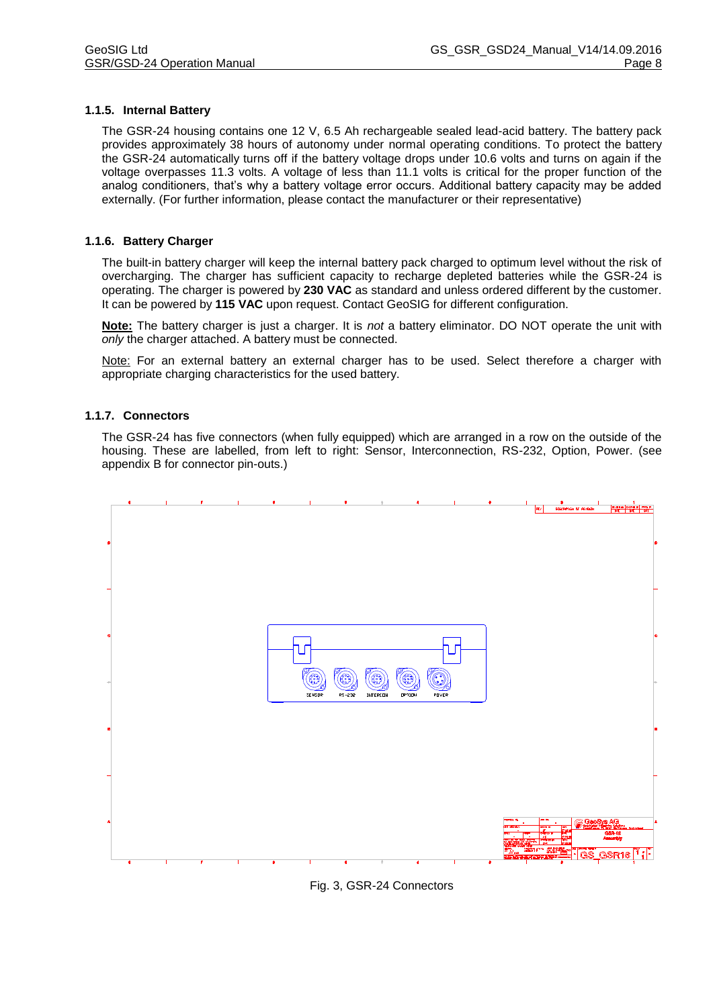#### **1.1.5. Internal Battery**

The GSR-24 housing contains one 12 V, 6.5 Ah rechargeable sealed lead-acid battery. The battery pack provides approximately 38 hours of autonomy under normal operating conditions. To protect the battery the GSR-24 automatically turns off if the battery voltage drops under 10.6 volts and turns on again if the voltage overpasses 11.3 volts. A voltage of less than 11.1 volts is critical for the proper function of the analog conditioners, that's why a battery voltage error occurs. Additional battery capacity may be added externally. (For further information, please contact the manufacturer or their representative)

#### **1.1.6. Battery Charger**

The built-in battery charger will keep the internal battery pack charged to optimum level without the risk of overcharging. The charger has sufficient capacity to recharge depleted batteries while the GSR-24 is operating. The charger is powered by **230 VAC** as standard and unless ordered different by the customer. It can be powered by **115 VAC** upon request. Contact GeoSIG for different configuration.

**Note:** The battery charger is just a charger. It is *not* a battery eliminator. DO NOT operate the unit with *only* the charger attached. A battery must be connected.

Note: For an external battery an external charger has to be used. Select therefore a charger with appropriate charging characteristics for the used battery.

#### **1.1.7. Connectors**

The GSR-24 has five connectors (when fully equipped) which are arranged in a row on the outside of the housing. These are labelled, from left to right: Sensor, Interconnection, RS-232, Option, Power. (see appendix B for connector pin-outs.)



Fig. 3, GSR-24 Connectors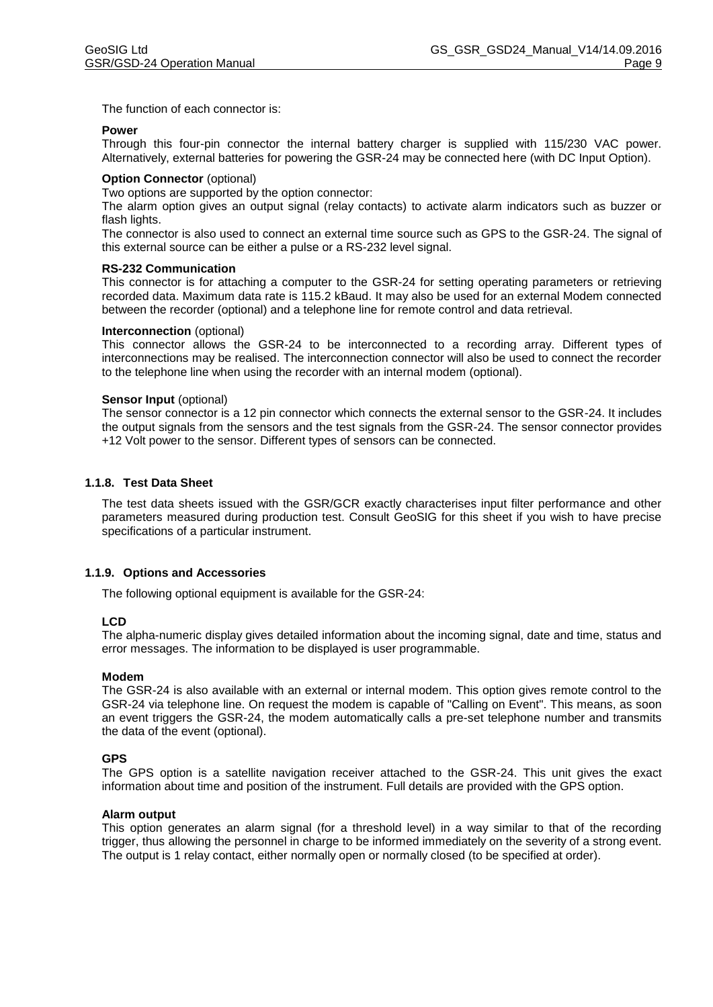The function of each connector is:

#### **Power**

Through this four-pin connector the internal battery charger is supplied with 115/230 VAC power. Alternatively, external batteries for powering the GSR-24 may be connected here (with DC Input Option).

#### **Option Connector (optional)**

Two options are supported by the option connector:

The alarm option gives an output signal (relay contacts) to activate alarm indicators such as buzzer or flash lights.

The connector is also used to connect an external time source such as GPS to the GSR-24. The signal of this external source can be either a pulse or a RS-232 level signal.

#### **RS-232 Communication**

This connector is for attaching a computer to the GSR-24 for setting operating parameters or retrieving recorded data. Maximum data rate is 115.2 kBaud. It may also be used for an external Modem connected between the recorder (optional) and a telephone line for remote control and data retrieval.

#### **Interconnection** (optional)

This connector allows the GSR-24 to be interconnected to a recording array. Different types of interconnections may be realised. The interconnection connector will also be used to connect the recorder to the telephone line when using the recorder with an internal modem (optional).

#### **Sensor Input** (optional)

The sensor connector is a 12 pin connector which connects the external sensor to the GSR-24. It includes the output signals from the sensors and the test signals from the GSR-24. The sensor connector provides +12 Volt power to the sensor. Different types of sensors can be connected.

#### **1.1.8. Test Data Sheet**

The test data sheets issued with the GSR/GCR exactly characterises input filter performance and other parameters measured during production test. Consult GeoSIG for this sheet if you wish to have precise specifications of a particular instrument.

#### **1.1.9. Options and Accessories**

The following optional equipment is available for the GSR-24:

#### **LCD**

The alpha-numeric display gives detailed information about the incoming signal, date and time, status and error messages. The information to be displayed is user programmable.

#### **Modem**

The GSR-24 is also available with an external or internal modem. This option gives remote control to the GSR-24 via telephone line. On request the modem is capable of "Calling on Event". This means, as soon an event triggers the GSR-24, the modem automatically calls a pre-set telephone number and transmits the data of the event (optional).

#### **GPS**

The GPS option is a satellite navigation receiver attached to the GSR-24. This unit gives the exact information about time and position of the instrument. Full details are provided with the GPS option.

#### **Alarm output**

This option generates an alarm signal (for a threshold level) in a way similar to that of the recording trigger, thus allowing the personnel in charge to be informed immediately on the severity of a strong event. The output is 1 relay contact, either normally open or normally closed (to be specified at order).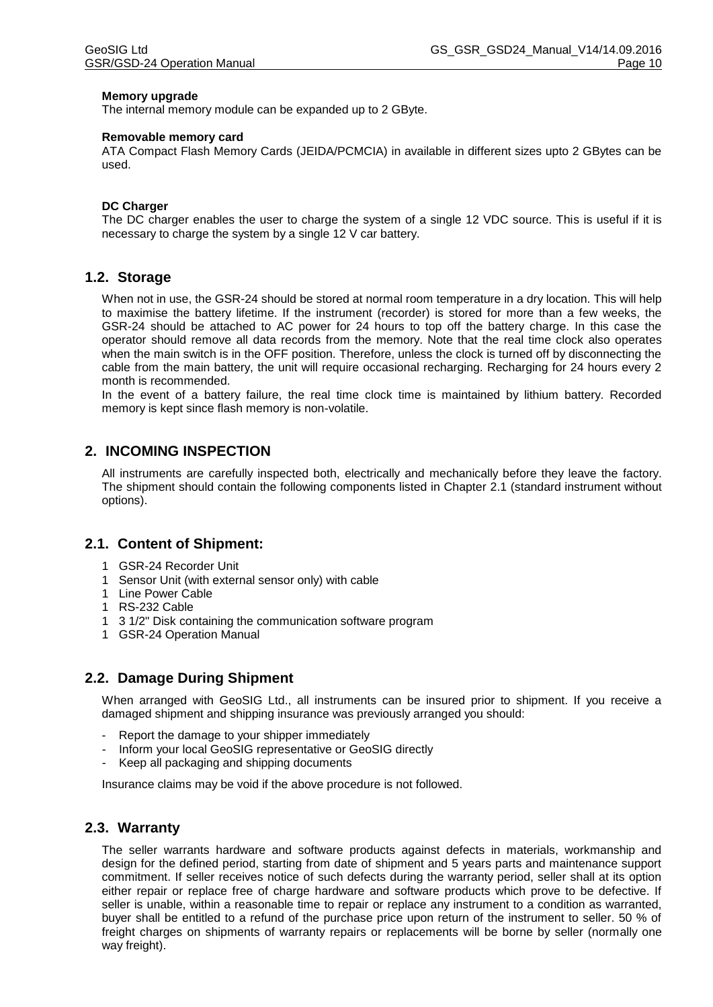#### **Memory upgrade**

The internal memory module can be expanded up to 2 GByte.

#### **Removable memory card**

ATA Compact Flash Memory Cards (JEIDA/PCMCIA) in available in different sizes upto 2 GBytes can be used.

#### **DC Charger**

The DC charger enables the user to charge the system of a single 12 VDC source. This is useful if it is necessary to charge the system by a single 12 V car battery.

#### **1.2. Storage**

When not in use, the GSR-24 should be stored at normal room temperature in a dry location. This will help to maximise the battery lifetime. If the instrument (recorder) is stored for more than a few weeks, the GSR-24 should be attached to AC power for 24 hours to top off the battery charge. In this case the operator should remove all data records from the memory. Note that the real time clock also operates when the main switch is in the OFF position. Therefore, unless the clock is turned off by disconnecting the cable from the main battery, the unit will require occasional recharging. Recharging for 24 hours every 2 month is recommended.

In the event of a battery failure, the real time clock time is maintained by lithium battery. Recorded memory is kept since flash memory is non-volatile.

## **2. INCOMING INSPECTION**

All instruments are carefully inspected both, electrically and mechanically before they leave the factory. The shipment should contain the following components listed in Chapter 2.1 (standard instrument without options).

#### **2.1. Content of Shipment:**

- 1 GSR-24 Recorder Unit
- 1 Sensor Unit (with external sensor only) with cable
- 1 Line Power Cable
- 1 RS-232 Cable
- 1 3 1/2" Disk containing the communication software program
- 1 GSR-24 Operation Manual

#### **2.2. Damage During Shipment**

When arranged with GeoSIG Ltd., all instruments can be insured prior to shipment. If you receive a damaged shipment and shipping insurance was previously arranged you should:

- Report the damage to your shipper immediately
- Inform your local GeoSIG representative or GeoSIG directly
- Keep all packaging and shipping documents

Insurance claims may be void if the above procedure is not followed.

#### **2.3. Warranty**

The seller warrants hardware and software products against defects in materials, workmanship and design for the defined period, starting from date of shipment and 5 years parts and maintenance support commitment. If seller receives notice of such defects during the warranty period, seller shall at its option either repair or replace free of charge hardware and software products which prove to be defective. If seller is unable, within a reasonable time to repair or replace any instrument to a condition as warranted, buyer shall be entitled to a refund of the purchase price upon return of the instrument to seller. 50 % of freight charges on shipments of warranty repairs or replacements will be borne by seller (normally one way freight).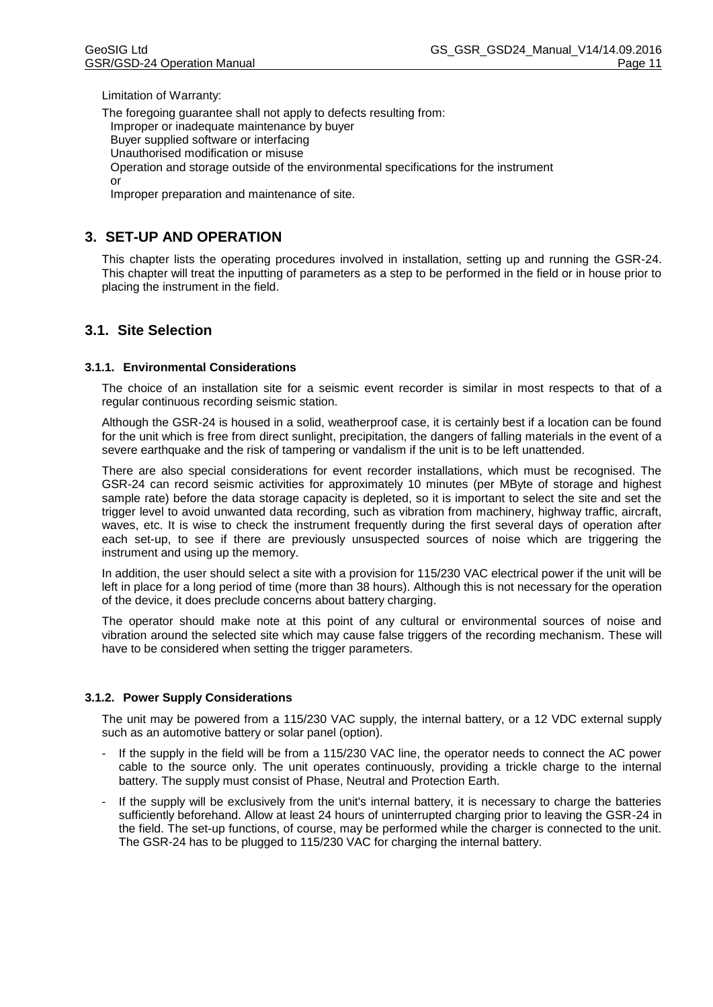Limitation of Warranty:

The foregoing guarantee shall not apply to defects resulting from: Improper or inadequate maintenance by buyer Buyer supplied software or interfacing Unauthorised modification or misuse Operation and storage outside of the environmental specifications for the instrument or

Improper preparation and maintenance of site.

# **3. SET-UP AND OPERATION**

This chapter lists the operating procedures involved in installation, setting up and running the GSR-24. This chapter will treat the inputting of parameters as a step to be performed in the field or in house prior to placing the instrument in the field.

# **3.1. Site Selection**

#### **3.1.1. Environmental Considerations**

The choice of an installation site for a seismic event recorder is similar in most respects to that of a regular continuous recording seismic station.

Although the GSR-24 is housed in a solid, weatherproof case, it is certainly best if a location can be found for the unit which is free from direct sunlight, precipitation, the dangers of falling materials in the event of a severe earthquake and the risk of tampering or vandalism if the unit is to be left unattended.

There are also special considerations for event recorder installations, which must be recognised. The GSR-24 can record seismic activities for approximately 10 minutes (per MByte of storage and highest sample rate) before the data storage capacity is depleted, so it is important to select the site and set the trigger level to avoid unwanted data recording, such as vibration from machinery, highway traffic, aircraft, waves, etc. It is wise to check the instrument frequently during the first several days of operation after each set-up, to see if there are previously unsuspected sources of noise which are triggering the instrument and using up the memory.

In addition, the user should select a site with a provision for 115/230 VAC electrical power if the unit will be left in place for a long period of time (more than 38 hours). Although this is not necessary for the operation of the device, it does preclude concerns about battery charging.

The operator should make note at this point of any cultural or environmental sources of noise and vibration around the selected site which may cause false triggers of the recording mechanism. These will have to be considered when setting the trigger parameters.

#### **3.1.2. Power Supply Considerations**

The unit may be powered from a 115/230 VAC supply, the internal battery, or a 12 VDC external supply such as an automotive battery or solar panel (option).

- If the supply in the field will be from a 115/230 VAC line, the operator needs to connect the AC power cable to the source only. The unit operates continuously, providing a trickle charge to the internal battery. The supply must consist of Phase, Neutral and Protection Earth.
- If the supply will be exclusively from the unit's internal battery, it is necessary to charge the batteries sufficiently beforehand. Allow at least 24 hours of uninterrupted charging prior to leaving the GSR-24 in the field. The set-up functions, of course, may be performed while the charger is connected to the unit. The GSR-24 has to be plugged to 115/230 VAC for charging the internal battery.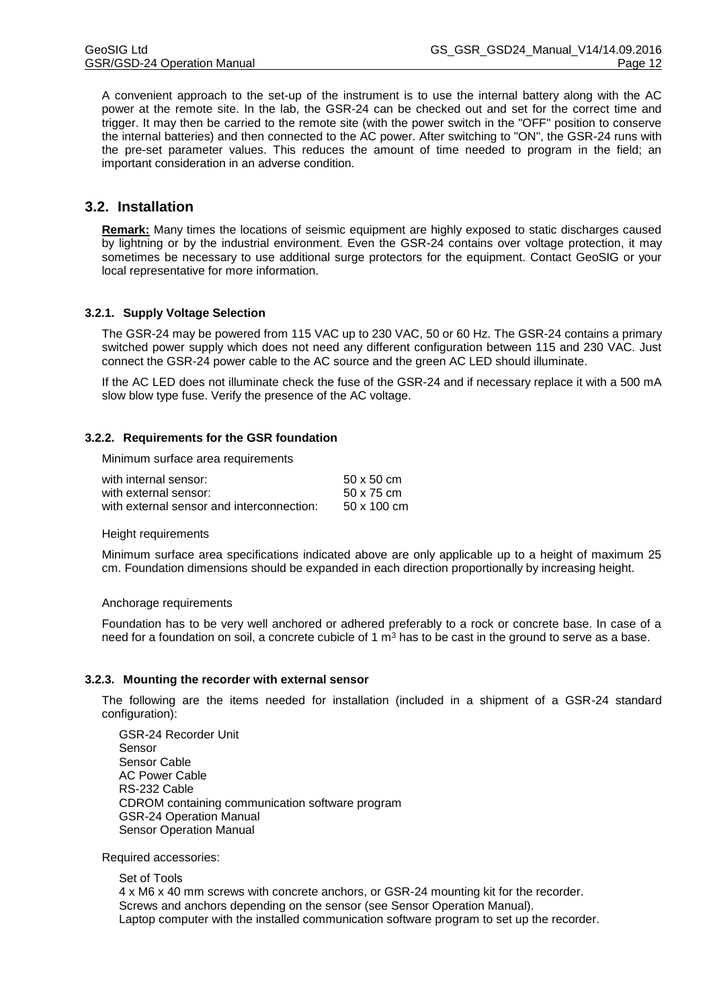A convenient approach to the set-up of the instrument is to use the internal battery along with the AC power at the remote site. In the lab, the GSR-24 can be checked out and set for the correct time and trigger. It may then be carried to the remote site (with the power switch in the "OFF" position to conserve the internal batteries) and then connected to the AC power. After switching to "ON", the GSR-24 runs with the pre-set parameter values. This reduces the amount of time needed to program in the field; an important consideration in an adverse condition.

## **3.2. Installation**

**Remark:** Many times the locations of seismic equipment are highly exposed to static discharges caused by lightning or by the industrial environment. Even the GSR-24 contains over voltage protection, it may sometimes be necessary to use additional surge protectors for the equipment. Contact GeoSIG or your local representative for more information.

#### **3.2.1. Supply Voltage Selection**

The GSR-24 may be powered from 115 VAC up to 230 VAC, 50 or 60 Hz. The GSR-24 contains a primary switched power supply which does not need any different configuration between 115 and 230 VAC. Just connect the GSR-24 power cable to the AC source and the green AC LED should illuminate.

If the AC LED does not illuminate check the fuse of the GSR-24 and if necessary replace it with a 500 mA slow blow type fuse. Verify the presence of the AC voltage.

#### <span id="page-16-0"></span>**3.2.2. Requirements for the GSR foundation**

Minimum surface area requirements

| with internal sensor:                     | $50 \times 50$ cm |
|-------------------------------------------|-------------------|
| with external sensor:                     | 50 x 75 cm        |
| with external sensor and interconnection: | 50 x 100 cm       |

#### Height requirements

Minimum surface area specifications indicated above are only applicable up to a height of maximum 25 cm. Foundation dimensions should be expanded in each direction proportionally by increasing height.

#### Anchorage requirements

Foundation has to be very well anchored or adhered preferably to a rock or concrete base. In case of a need for a foundation on soil, a concrete cubicle of 1  $m<sup>3</sup>$  has to be cast in the ground to serve as a base.

#### **3.2.3. Mounting the recorder with external sensor**

The following are the items needed for installation (included in a shipment of a GSR-24 standard configuration):

GSR-24 Recorder Unit Sensor Sensor Cable AC Power Cable RS-232 Cable CDROM containing communication software program GSR-24 Operation Manual Sensor Operation Manual

Required accessories:

Set of Tools 4 x M6 x 40 mm screws with concrete anchors, or GSR-24 mounting kit for the recorder. Screws and anchors depending on the sensor (see Sensor Operation Manual). Laptop computer with the installed communication software program to set up the recorder.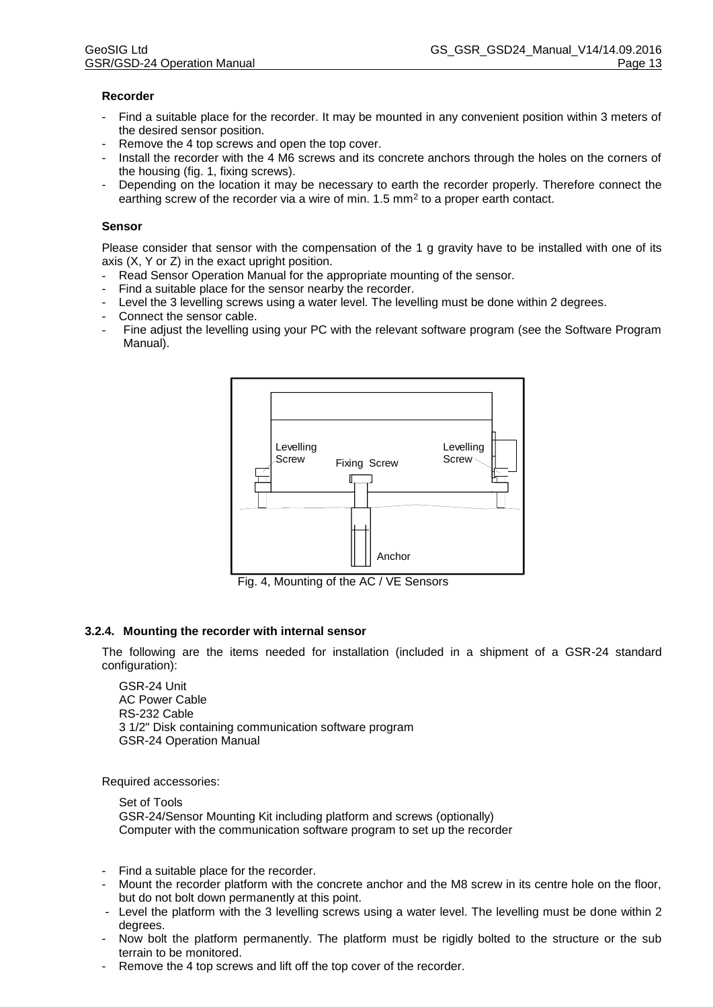#### **Recorder**

- Find a suitable place for the recorder. It may be mounted in any convenient position within 3 meters of the desired sensor position.
- Remove the 4 top screws and open the top cover.
- Install the recorder with the 4 M6 screws and its concrete anchors through the holes on the corners of the housing (fig. 1, fixing screws).
- Depending on the location it may be necessary to earth the recorder properly. Therefore connect the earthing screw of the recorder via a wire of min. 1.5 mm<sup>2</sup> to a proper earth contact.

#### **Sensor**

Please consider that sensor with the compensation of the 1 g gravity have to be installed with one of its axis (X, Y or Z) in the exact upright position.

- Read Sensor Operation Manual for the appropriate mounting of the sensor.
- Find a suitable place for the sensor nearby the recorder.
- Level the 3 levelling screws using a water level. The levelling must be done within 2 degrees.
- Connect the sensor cable.
- Fine adjust the levelling using your PC with the relevant software program (see the Software Program Manual).



Fig. 4, Mounting of the AC / VE Sensors

#### **3.2.4. Mounting the recorder with internal sensor**

The following are the items needed for installation (included in a shipment of a GSR-24 standard configuration):

GSR-24 Unit AC Power Cable RS-232 Cable 3 1/2" Disk containing communication software program GSR-24 Operation Manual

Required accessories:

Set of Tools GSR-24/Sensor Mounting Kit including platform and screws (optionally) Computer with the communication software program to set up the recorder

- Find a suitable place for the recorder.
- Mount the recorder platform with the concrete anchor and the M8 screw in its centre hole on the floor, but do not bolt down permanently at this point.
- Level the platform with the 3 levelling screws using a water level. The levelling must be done within 2 degrees.
- Now bolt the platform permanently. The platform must be rigidly bolted to the structure or the sub terrain to be monitored.
- Remove the 4 top screws and lift off the top cover of the recorder.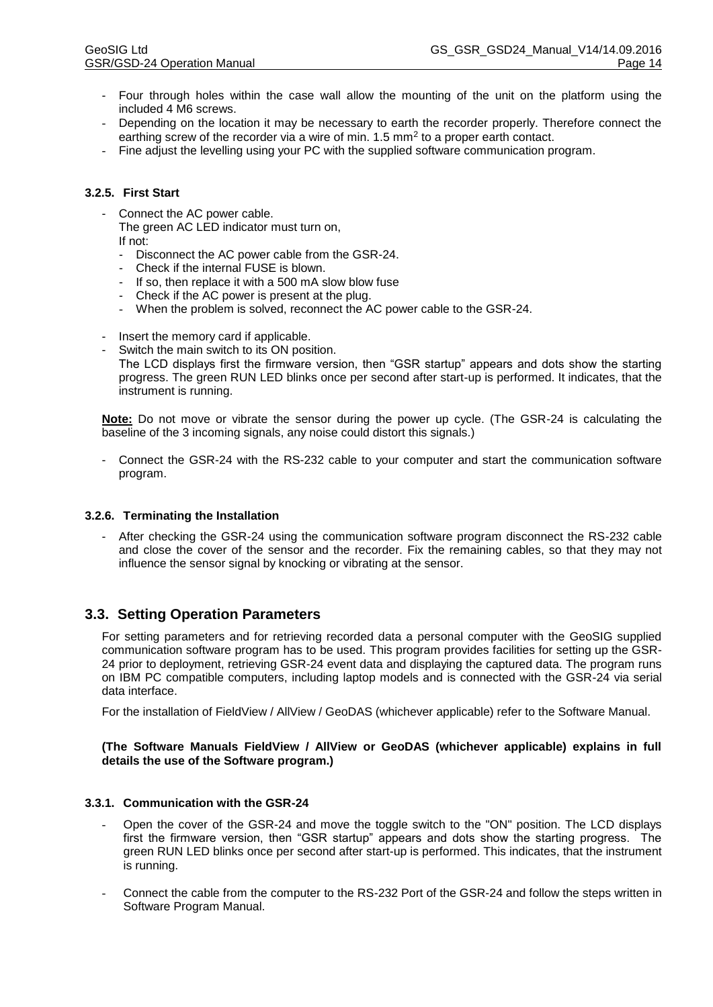- Four through holes within the case wall allow the mounting of the unit on the platform using the included 4 M6 screws.
- Depending on the location it may be necessary to earth the recorder properly. Therefore connect the earthing screw of the recorder via a wire of min. 1.5 mm<sup>2</sup> to a proper earth contact.
- Fine adjust the levelling using your PC with the supplied software communication program.

### **3.2.5. First Start**

- Connect the AC power cable.

The green AC LED indicator must turn on, If not:

- Disconnect the AC power cable from the GSR-24.
- Check if the internal FUSE is blown.
- If so, then replace it with a 500 mA slow blow fuse
- Check if the AC power is present at the plug.
- When the problem is solved, reconnect the AC power cable to the GSR-24.
- Insert the memory card if applicable.
- Switch the main switch to its ON position.
	- The LCD displays first the firmware version, then "GSR startup" appears and dots show the starting progress. The green RUN LED blinks once per second after start-up is performed. It indicates, that the instrument is running.

**Note:** Do not move or vibrate the sensor during the power up cycle. (The GSR-24 is calculating the baseline of the 3 incoming signals, any noise could distort this signals.)

- Connect the GSR-24 with the RS-232 cable to your computer and start the communication software program.

#### **3.2.6. Terminating the Installation**

- After checking the GSR-24 using the communication software program disconnect the RS-232 cable and close the cover of the sensor and the recorder. Fix the remaining cables, so that they may not influence the sensor signal by knocking or vibrating at the sensor.

# **3.3. Setting Operation Parameters**

For setting parameters and for retrieving recorded data a personal computer with the GeoSIG supplied communication software program has to be used. This program provides facilities for setting up the GSR-24 prior to deployment, retrieving GSR-24 event data and displaying the captured data. The program runs on IBM PC compatible computers, including laptop models and is connected with the GSR-24 via serial data interface.

For the installation of FieldView / AllView / GeoDAS (whichever applicable) refer to the Software Manual.

#### **(The Software Manuals FieldView / AllView or GeoDAS (whichever applicable) explains in full details the use of the Software program.)**

#### **3.3.1. Communication with the GSR-24**

- Open the cover of the GSR-24 and move the toggle switch to the "ON" position. The LCD displays first the firmware version, then "GSR startup" appears and dots show the starting progress. The green RUN LED blinks once per second after start-up is performed. This indicates, that the instrument is running.
- Connect the cable from the computer to the RS-232 Port of the GSR-24 and follow the steps written in Software Program Manual.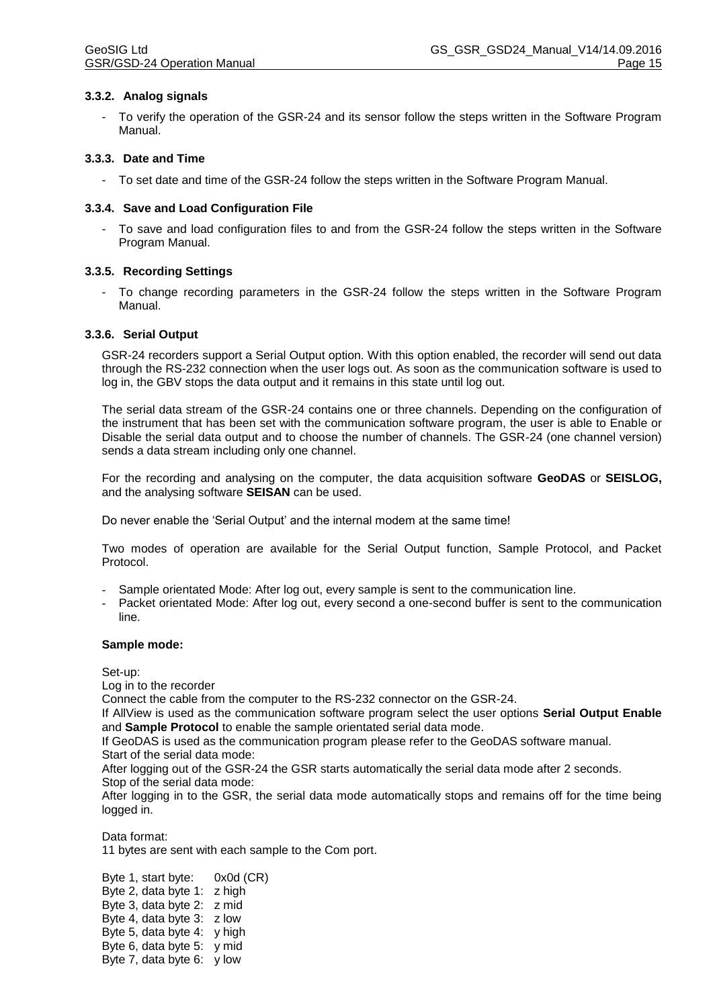#### **3.3.2. Analog signals**

- To verify the operation of the GSR-24 and its sensor follow the steps written in the Software Program Manual.

#### **3.3.3. Date and Time**

- To set date and time of the GSR-24 follow the steps written in the Software Program Manual.

#### **3.3.4. Save and Load Configuration File**

- To save and load configuration files to and from the GSR-24 follow the steps written in the Software Program Manual.

#### **3.3.5. Recording Settings**

- To change recording parameters in the GSR-24 follow the steps written in the Software Program Manual.

#### **3.3.6. Serial Output**

GSR-24 recorders support a Serial Output option. With this option enabled, the recorder will send out data through the RS-232 connection when the user logs out. As soon as the communication software is used to log in, the GBV stops the data output and it remains in this state until log out.

The serial data stream of the GSR-24 contains one or three channels. Depending on the configuration of the instrument that has been set with the communication software program, the user is able to Enable or Disable the serial data output and to choose the number of channels. The GSR-24 (one channel version) sends a data stream including only one channel.

For the recording and analysing on the computer, the data acquisition software **GeoDAS** or **SEISLOG,**  and the analysing software **SEISAN** can be used.

Do never enable the 'Serial Output' and the internal modem at the same time!

Two modes of operation are available for the Serial Output function, Sample Protocol, and Packet Protocol.

- Sample orientated Mode: After log out, every sample is sent to the communication line.
- Packet orientated Mode: After log out, every second a one-second buffer is sent to the communication line.

#### **Sample mode:**

Set-up:

Log in to the recorder

Connect the cable from the computer to the RS-232 connector on the GSR-24.

If AllView is used as the communication software program select the user options **Serial Output Enable** and **Sample Protocol** to enable the sample orientated serial data mode.

If GeoDAS is used as the communication program please refer to the GeoDAS software manual. Start of the serial data mode:

After logging out of the GSR-24 the GSR starts automatically the serial data mode after 2 seconds. Stop of the serial data mode:

After logging in to the GSR, the serial data mode automatically stops and remains off for the time being logged in.

Data format: 11 bytes are sent with each sample to the Com port.

Byte 1, start byte: 0x0d (CR) Byte 2, data byte 1: z high Byte 3, data byte 2: z mid Byte 4, data byte 3: z low Byte 5, data byte 4: y high Byte 6, data byte 5: y mid Byte 7, data byte 6: y low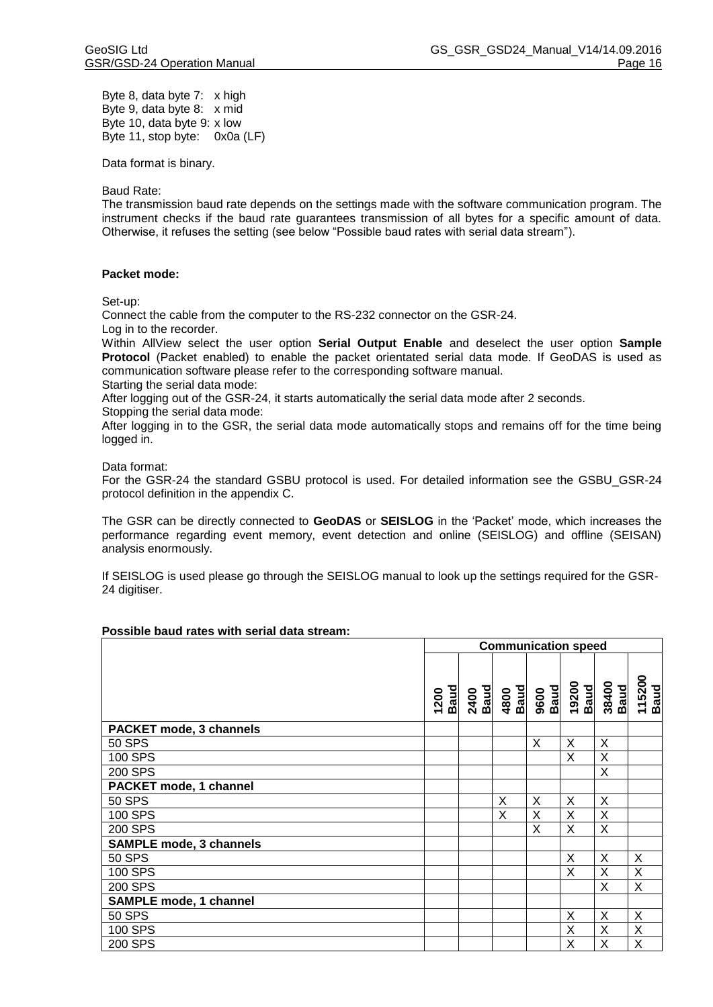Byte 8, data byte 7: x high Byte 9, data byte 8: x mid Byte 10, data byte 9: x low Byte 11, stop byte: 0x0a (LF)

Data format is binary.

Baud Rate:

The transmission baud rate depends on the settings made with the software communication program. The instrument checks if the baud rate guarantees transmission of all bytes for a specific amount of data. Otherwise, it refuses the setting (see below "Possible baud rates with serial data stream").

#### **Packet mode:**

Set-up:

Connect the cable from the computer to the RS-232 connector on the GSR-24.

Log in to the recorder.

Within AllView select the user option **Serial Output Enable** and deselect the user option **Sample Protocol** (Packet enabled) to enable the packet orientated serial data mode. If GeoDAS is used as communication software please refer to the corresponding software manual.

Starting the serial data mode:

After logging out of the GSR-24, it starts automatically the serial data mode after 2 seconds.

Stopping the serial data mode:

After logging in to the GSR, the serial data mode automatically stops and remains off for the time being logged in.

#### Data format:

For the GSR-24 the standard GSBU protocol is used. For detailed information see the GSBU\_GSR-24 protocol definition in the appendix C.

The GSR can be directly connected to **GeoDAS** or **SEISLOG** in the 'Packet' mode, which increases the performance regarding event memory, event detection and online (SEISLOG) and offline (SEISAN) analysis enormously.

If SEISLOG is used please go through the SEISLOG manual to look up the settings required for the GSR-24 digitiser.

#### **Possible baud rates with serial data stream:**

|                                | <b>Communication speed</b> |              |              |              |               |               |                       |
|--------------------------------|----------------------------|--------------|--------------|--------------|---------------|---------------|-----------------------|
|                                | <b>Baud</b><br>1200        | 2400<br>Baud | 4800<br>Baud | 9600<br>Baud | 19200<br>Baud | 38400<br>Baud | 115200<br><b>Baud</b> |
| <b>PACKET mode, 3 channels</b> |                            |              |              |              |               |               |                       |
| 50 SPS                         |                            |              |              | X            | X             | X             |                       |
| 100 SPS                        |                            |              |              |              | X             | X             |                       |
| 200 SPS                        |                            |              |              |              |               | X             |                       |
| PACKET mode, 1 channel         |                            |              |              |              |               |               |                       |
| <b>50 SPS</b>                  |                            |              | X            | X            | X             | X             |                       |
| 100 SPS                        |                            |              | X            | X            | X             | X             |                       |
| 200 SPS                        |                            |              |              | X            | X             | X             |                       |
| <b>SAMPLE mode, 3 channels</b> |                            |              |              |              |               |               |                       |
| <b>50 SPS</b>                  |                            |              |              |              | X             | X             | X                     |
| 100 SPS                        |                            |              |              |              | X             | X             | Χ                     |
| 200 SPS                        |                            |              |              |              |               | X             | X                     |
| <b>SAMPLE mode, 1 channel</b>  |                            |              |              |              |               |               |                       |
| <b>50 SPS</b>                  |                            |              |              |              | X             | X             | X                     |
| 100 SPS                        |                            |              |              |              | X             | X             | X                     |
| 200 SPS                        |                            |              |              |              | Χ             | X             | X                     |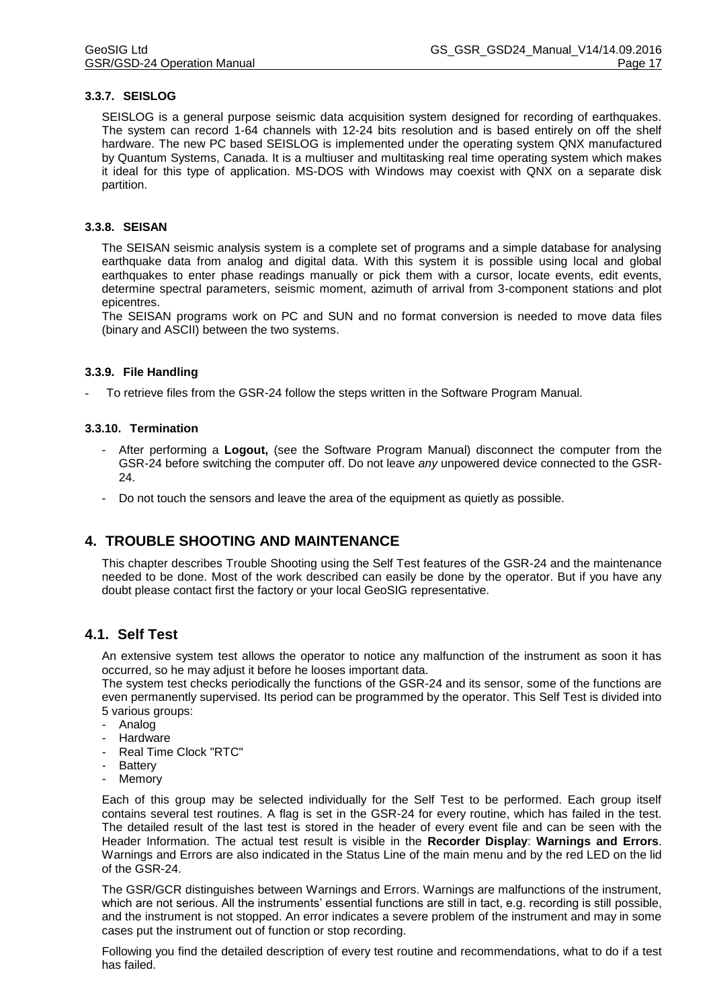#### **3.3.7. SEISLOG**

SEISLOG is a general purpose seismic data acquisition system designed for recording of earthquakes. The system can record 1-64 channels with 12-24 bits resolution and is based entirely on off the shelf hardware. The new PC based SEISLOG is implemented under the operating system QNX manufactured by Quantum Systems, Canada. It is a multiuser and multitasking real time operating system which makes it ideal for this type of application. MS-DOS with Windows may coexist with QNX on a separate disk partition.

#### **3.3.8. SEISAN**

The SEISAN seismic analysis system is a complete set of programs and a simple database for analysing earthquake data from analog and digital data. With this system it is possible using local and global earthquakes to enter phase readings manually or pick them with a cursor, locate events, edit events, determine spectral parameters, seismic moment, azimuth of arrival from 3-component stations and plot epicentres.

The SEISAN programs work on PC and SUN and no format conversion is needed to move data files (binary and ASCII) between the two systems.

#### **3.3.9. File Handling**

- To retrieve files from the GSR-24 follow the steps written in the Software Program Manual.

#### **3.3.10. Termination**

- After performing a **Logout,** (see the Software Program Manual) disconnect the computer from the GSR-24 before switching the computer off. Do not leave *any* unpowered device connected to the GSR-24.
- Do not touch the sensors and leave the area of the equipment as quietly as possible.

# **4. TROUBLE SHOOTING AND MAINTENANCE**

This chapter describes Trouble Shooting using the Self Test features of the GSR-24 and the maintenance needed to be done. Most of the work described can easily be done by the operator. But if you have any doubt please contact first the factory or your local GeoSIG representative.

# **4.1. Self Test**

An extensive system test allows the operator to notice any malfunction of the instrument as soon it has occurred, so he may adjust it before he looses important data.

The system test checks periodically the functions of the GSR-24 and its sensor, some of the functions are even permanently supervised. Its period can be programmed by the operator. This Self Test is divided into 5 various groups:

- Analog
- **Hardware**
- Real Time Clock "RTC"
- **Battery**
- **Memory**

Each of this group may be selected individually for the Self Test to be performed. Each group itself contains several test routines. A flag is set in the GSR-24 for every routine, which has failed in the test. The detailed result of the last test is stored in the header of every event file and can be seen with the Header Information. The actual test result is visible in the **Recorder Display**: **Warnings and Errors**. Warnings and Errors are also indicated in the Status Line of the main menu and by the red LED on the lid of the GSR-24.

The GSR/GCR distinguishes between Warnings and Errors. Warnings are malfunctions of the instrument, which are not serious. All the instruments' essential functions are still in tact, e.g. recording is still possible, and the instrument is not stopped. An error indicates a severe problem of the instrument and may in some cases put the instrument out of function or stop recording.

Following you find the detailed description of every test routine and recommendations, what to do if a test has failed.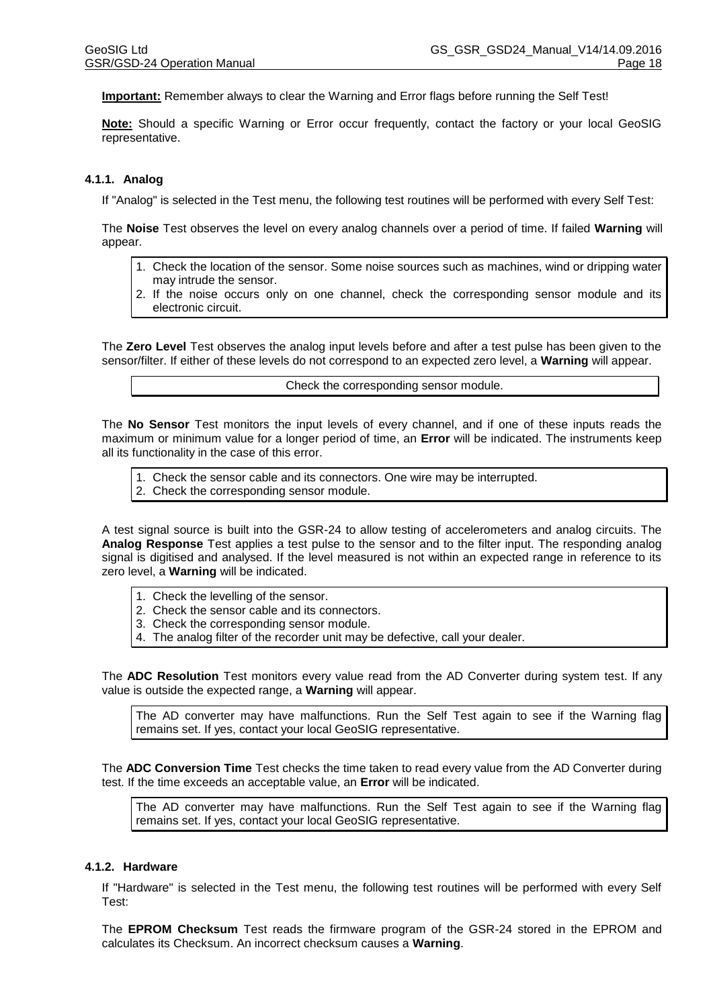**Important:** Remember always to clear the Warning and Error flags before running the Self Test!

**Note:** Should a specific Warning or Error occur frequently, contact the factory or your local GeoSIG representative.

#### **4.1.1. Analog**

If "Analog" is selected in the Test menu, the following test routines will be performed with every Self Test:

The **Noise** Test observes the level on every analog channels over a period of time. If failed **Warning** will appear.

- 1. Check the location of the sensor. Some noise sources such as machines, wind or dripping water may intrude the sensor.
- 2. If the noise occurs only on one channel, check the corresponding sensor module and its electronic circuit.

The **Zero Level** Test observes the analog input levels before and after a test pulse has been given to the sensor/filter. If either of these levels do not correspond to an expected zero level, a **Warning** will appear.

Check the corresponding sensor module.

The **No Sensor** Test monitors the input levels of every channel, and if one of these inputs reads the maximum or minimum value for a longer period of time, an **Error** will be indicated. The instruments keep all its functionality in the case of this error.

1. Check the sensor cable and its connectors. One wire may be interrupted. 2. Check the corresponding sensor module.

A test signal source is built into the GSR-24 to allow testing of accelerometers and analog circuits. The **Analog Response** Test applies a test pulse to the sensor and to the filter input. The responding analog signal is digitised and analysed. If the level measured is not within an expected range in reference to its zero level, a **Warning** will be indicated.

- 1. Check the levelling of the sensor.
- 2. Check the sensor cable and its connectors.
- 3. Check the corresponding sensor module.
- 4. The analog filter of the recorder unit may be defective, call your dealer.

The **ADC Resolution** Test monitors every value read from the AD Converter during system test. If any value is outside the expected range, a **Warning** will appear.

The AD converter may have malfunctions. Run the Self Test again to see if the Warning flag remains set. If yes, contact your local GeoSIG representative.

The **ADC Conversion Time** Test checks the time taken to read every value from the AD Converter during test. If the time exceeds an acceptable value, an **Error** will be indicated.

The AD converter may have malfunctions. Run the Self Test again to see if the Warning flag remains set. If yes, contact your local GeoSIG representative.

#### **4.1.2. Hardware**

If "Hardware" is selected in the Test menu, the following test routines will be performed with every Self Test:

The **EPROM Checksum** Test reads the firmware program of the GSR-24 stored in the EPROM and calculates its Checksum. An incorrect checksum causes a **Warning**.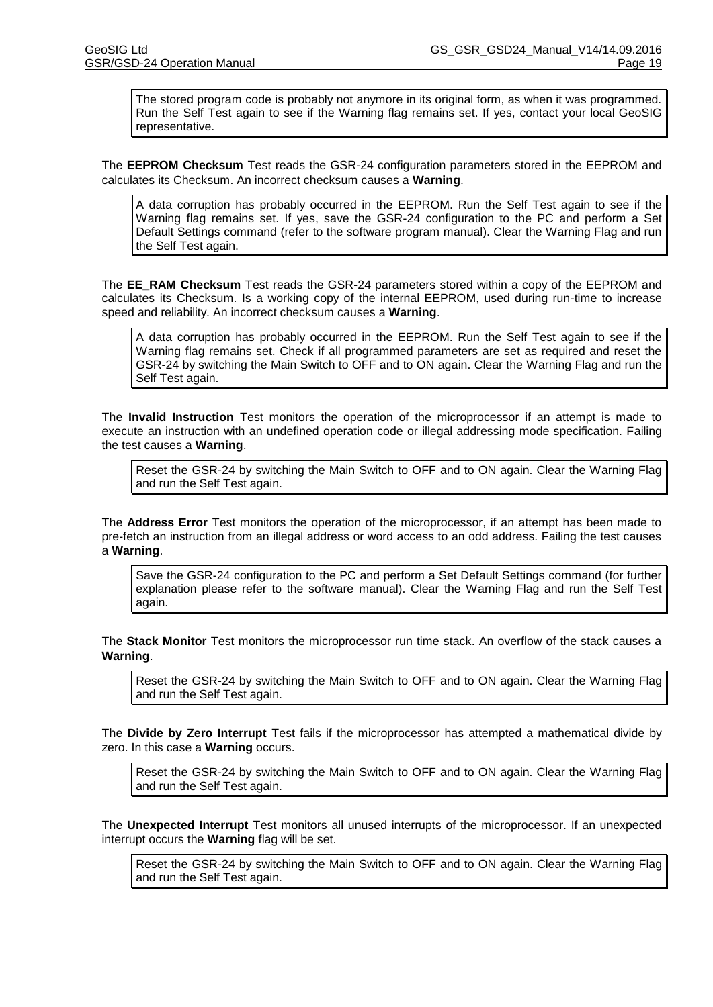The stored program code is probably not anymore in its original form, as when it was programmed. Run the Self Test again to see if the Warning flag remains set. If yes, contact your local GeoSIG representative.

The **EEPROM Checksum** Test reads the GSR-24 configuration parameters stored in the EEPROM and calculates its Checksum. An incorrect checksum causes a **Warning**.

A data corruption has probably occurred in the EEPROM. Run the Self Test again to see if the Warning flag remains set. If yes, save the GSR-24 configuration to the PC and perform a Set Default Settings command (refer to the software program manual). Clear the Warning Flag and run the Self Test again.

The **EE\_RAM Checksum** Test reads the GSR-24 parameters stored within a copy of the EEPROM and calculates its Checksum. Is a working copy of the internal EEPROM, used during run-time to increase speed and reliability. An incorrect checksum causes a **Warning**.

A data corruption has probably occurred in the EEPROM. Run the Self Test again to see if the Warning flag remains set. Check if all programmed parameters are set as required and reset the GSR-24 by switching the Main Switch to OFF and to ON again. Clear the Warning Flag and run the Self Test again.

The **Invalid Instruction** Test monitors the operation of the microprocessor if an attempt is made to execute an instruction with an undefined operation code or illegal addressing mode specification. Failing the test causes a **Warning**.

Reset the GSR-24 by switching the Main Switch to OFF and to ON again. Clear the Warning Flag and run the Self Test again.

The **Address Error** Test monitors the operation of the microprocessor, if an attempt has been made to pre-fetch an instruction from an illegal address or word access to an odd address. Failing the test causes a **Warning**.

Save the GSR-24 configuration to the PC and perform a Set Default Settings command (for further explanation please refer to the software manual). Clear the Warning Flag and run the Self Test again.

The **Stack Monitor** Test monitors the microprocessor run time stack. An overflow of the stack causes a **Warning**.

Reset the GSR-24 by switching the Main Switch to OFF and to ON again. Clear the Warning Flag and run the Self Test again.

The **Divide by Zero Interrupt** Test fails if the microprocessor has attempted a mathematical divide by zero. In this case a **Warning** occurs.

Reset the GSR-24 by switching the Main Switch to OFF and to ON again. Clear the Warning Flag and run the Self Test again.

The **Unexpected Interrupt** Test monitors all unused interrupts of the microprocessor. If an unexpected interrupt occurs the **Warning** flag will be set.

Reset the GSR-24 by switching the Main Switch to OFF and to ON again. Clear the Warning Flag and run the Self Test again.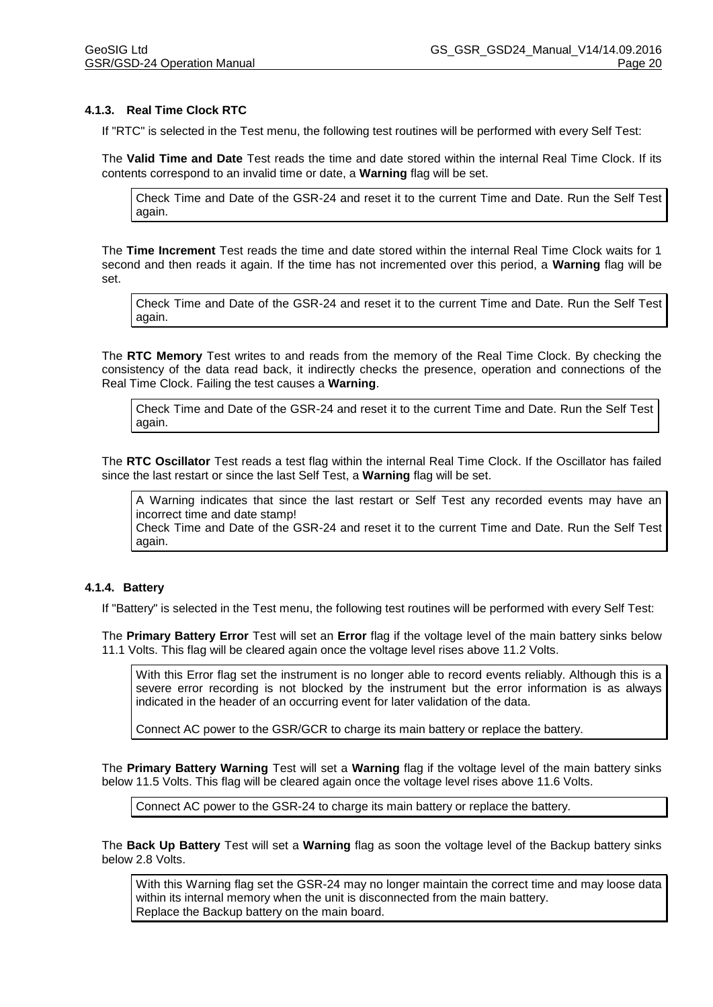#### **4.1.3. Real Time Clock RTC**

If "RTC" is selected in the Test menu, the following test routines will be performed with every Self Test:

The **Valid Time and Date** Test reads the time and date stored within the internal Real Time Clock. If its contents correspond to an invalid time or date, a **Warning** flag will be set.

Check Time and Date of the GSR-24 and reset it to the current Time and Date. Run the Self Test again.

The **Time Increment** Test reads the time and date stored within the internal Real Time Clock waits for 1 second and then reads it again. If the time has not incremented over this period, a **Warning** flag will be set.

Check Time and Date of the GSR-24 and reset it to the current Time and Date. Run the Self Test again.

The **RTC Memory** Test writes to and reads from the memory of the Real Time Clock. By checking the consistency of the data read back, it indirectly checks the presence, operation and connections of the Real Time Clock. Failing the test causes a **Warning**.

Check Time and Date of the GSR-24 and reset it to the current Time and Date. Run the Self Test again.

The **RTC Oscillator** Test reads a test flag within the internal Real Time Clock. If the Oscillator has failed since the last restart or since the last Self Test, a **Warning** flag will be set.

A Warning indicates that since the last restart or Self Test any recorded events may have an incorrect time and date stamp!

Check Time and Date of the GSR-24 and reset it to the current Time and Date. Run the Self Test again.

#### **4.1.4. Battery**

If "Battery" is selected in the Test menu, the following test routines will be performed with every Self Test:

The **Primary Battery Error** Test will set an **Error** flag if the voltage level of the main battery sinks below 11.1 Volts. This flag will be cleared again once the voltage level rises above 11.2 Volts.

With this Error flag set the instrument is no longer able to record events reliably. Although this is a severe error recording is not blocked by the instrument but the error information is as always indicated in the header of an occurring event for later validation of the data.

Connect AC power to the GSR/GCR to charge its main battery or replace the battery.

The **Primary Battery Warning** Test will set a **Warning** flag if the voltage level of the main battery sinks below 11.5 Volts. This flag will be cleared again once the voltage level rises above 11.6 Volts.

Connect AC power to the GSR-24 to charge its main battery or replace the battery.

The **Back Up Battery** Test will set a **Warning** flag as soon the voltage level of the Backup battery sinks below 2.8 Volts.

With this Warning flag set the GSR-24 may no longer maintain the correct time and may loose data within its internal memory when the unit is disconnected from the main battery. Replace the Backup battery on the main board.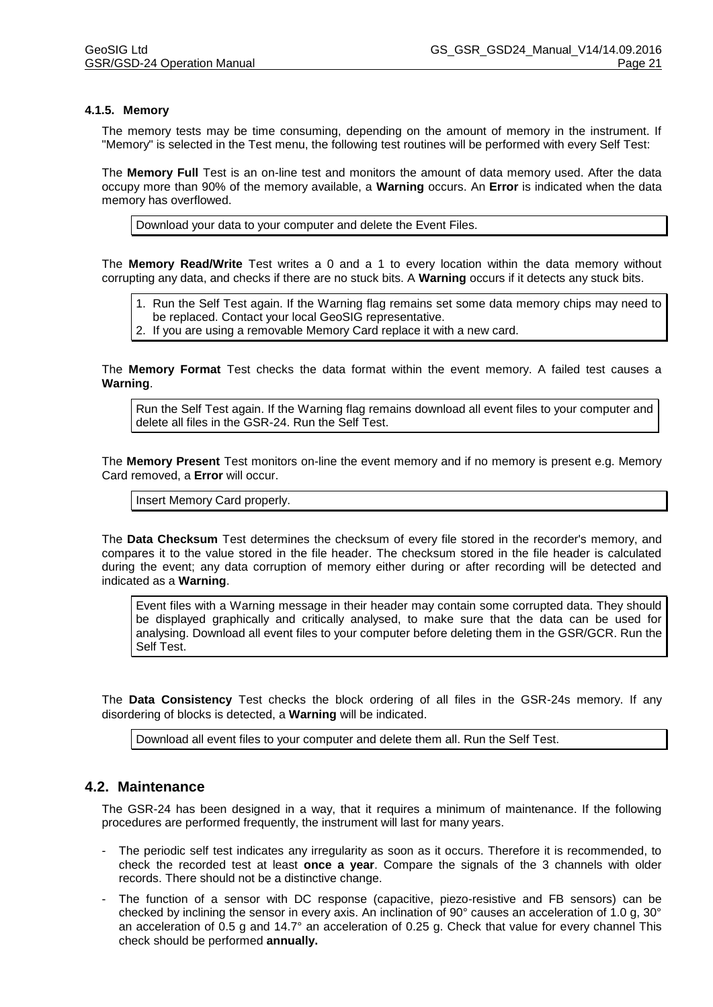#### **4.1.5. Memory**

The memory tests may be time consuming, depending on the amount of memory in the instrument. If "Memory" is selected in the Test menu, the following test routines will be performed with every Self Test:

The **Memory Full** Test is an on-line test and monitors the amount of data memory used. After the data occupy more than 90% of the memory available, a **Warning** occurs. An **Error** is indicated when the data memory has overflowed.

Download your data to your computer and delete the Event Files.

The **Memory Read/Write** Test writes a 0 and a 1 to every location within the data memory without corrupting any data, and checks if there are no stuck bits. A **Warning** occurs if it detects any stuck bits.

1. Run the Self Test again. If the Warning flag remains set some data memory chips may need to be replaced. Contact your local GeoSIG representative.

2. If you are using a removable Memory Card replace it with a new card.

The **Memory Format** Test checks the data format within the event memory. A failed test causes a **Warning**.

Run the Self Test again. If the Warning flag remains download all event files to your computer and delete all files in the GSR-24. Run the Self Test.

The **Memory Present** Test monitors on-line the event memory and if no memory is present e.g. Memory Card removed, a **Error** will occur.

Insert Memory Card properly.

The **Data Checksum** Test determines the checksum of every file stored in the recorder's memory, and compares it to the value stored in the file header. The checksum stored in the file header is calculated during the event; any data corruption of memory either during or after recording will be detected and indicated as a **Warning**.

Event files with a Warning message in their header may contain some corrupted data. They should be displayed graphically and critically analysed, to make sure that the data can be used for analysing. Download all event files to your computer before deleting them in the GSR/GCR. Run the Self Test.

The **Data Consistency** Test checks the block ordering of all files in the GSR-24s memory. If any disordering of blocks is detected, a **Warning** will be indicated.

Download all event files to your computer and delete them all. Run the Self Test.

# **4.2. Maintenance**

The GSR-24 has been designed in a way, that it requires a minimum of maintenance. If the following procedures are performed frequently, the instrument will last for many years.

- The periodic self test indicates any irregularity as soon as it occurs. Therefore it is recommended, to check the recorded test at least **once a year**. Compare the signals of the 3 channels with older records. There should not be a distinctive change.
- The function of a sensor with DC response (capacitive, piezo-resistive and FB sensors) can be checked by inclining the sensor in every axis. An inclination of 90° causes an acceleration of 1.0 g, 30° an acceleration of 0.5 g and 14.7° an acceleration of 0.25 g. Check that value for every channel This check should be performed **annually.**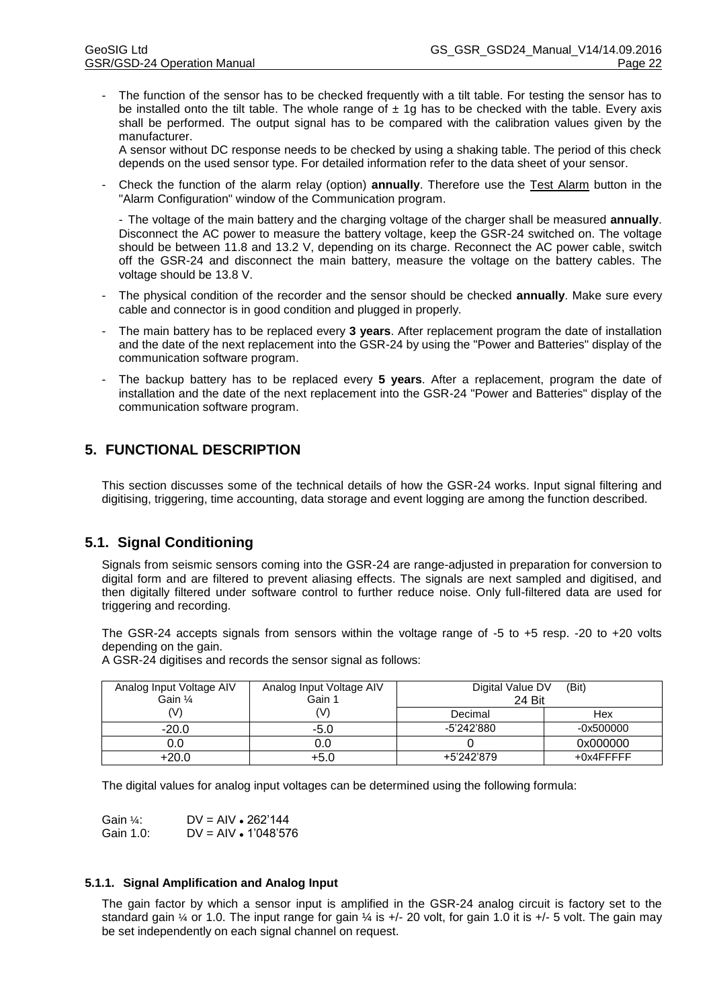The function of the sensor has to be checked frequently with a tilt table. For testing the sensor has to be installed onto the tilt table. The whole range of  $\pm 1g$  has to be checked with the table. Every axis shall be performed. The output signal has to be compared with the calibration values given by the manufacturer.

A sensor without DC response needs to be checked by using a shaking table. The period of this check depends on the used sensor type. For detailed information refer to the data sheet of your sensor.

- Check the function of the alarm relay (option) **annually**. Therefore use the Test Alarm button in the "Alarm Configuration" window of the Communication program.

- The voltage of the main battery and the charging voltage of the charger shall be measured **annually**. Disconnect the AC power to measure the battery voltage, keep the GSR-24 switched on. The voltage should be between 11.8 and 13.2 V, depending on its charge. Reconnect the AC power cable, switch off the GSR-24 and disconnect the main battery, measure the voltage on the battery cables. The voltage should be 13.8 V.

- The physical condition of the recorder and the sensor should be checked **annually**. Make sure every cable and connector is in good condition and plugged in properly.
- The main battery has to be replaced every **3 years**. After replacement program the date of installation and the date of the next replacement into the GSR-24 by using the "Power and Batteries" display of the communication software program.
- The backup battery has to be replaced every **5 years**. After a replacement, program the date of installation and the date of the next replacement into the GSR-24 "Power and Batteries" display of the communication software program.

# **5. FUNCTIONAL DESCRIPTION**

This section discusses some of the technical details of how the GSR-24 works. Input signal filtering and digitising, triggering, time accounting, data storage and event logging are among the function described.

# **5.1. Signal Conditioning**

Signals from seismic sensors coming into the GSR-24 are range-adjusted in preparation for conversion to digital form and are filtered to prevent aliasing effects. The signals are next sampled and digitised, and then digitally filtered under software control to further reduce noise. Only full-filtered data are used for triggering and recording.

The GSR-24 accepts signals from sensors within the voltage range of -5 to +5 resp. -20 to +20 volts depending on the gain.

A GSR-24 digitises and records the sensor signal as follows:

| Analog Input Voltage AIV<br>Gain 1/4 | Analog Input Voltage AIV<br>Gain 1 | Digital Value DV<br>24 Bit | (Bit)       |
|--------------------------------------|------------------------------------|----------------------------|-------------|
| (V)                                  |                                    | Decimal                    | Hex         |
| $-20.0$                              | -5.0                               | -5'242'880                 | $-0x500000$ |
| 0.0                                  | 0.0                                |                            | 0x000000    |
| $+20.0$                              | +5.0                               | +5'242'879                 | +0x4FFFFF   |

The digital values for analog input voltages can be determined using the following formula:

| Gain ¼:   | $DV = AIV \cdot 262'144$ |
|-----------|--------------------------|
| Gain 1.0: | $DV = AV - 1'048'576$    |

#### **5.1.1. Signal Amplification and Analog Input**

The gain factor by which a sensor input is amplified in the GSR-24 analog circuit is factory set to the standard gain ¼ or 1.0. The input range for gain ¼ is +/- 20 volt, for gain 1.0 it is +/- 5 volt. The gain may be set independently on each signal channel on request.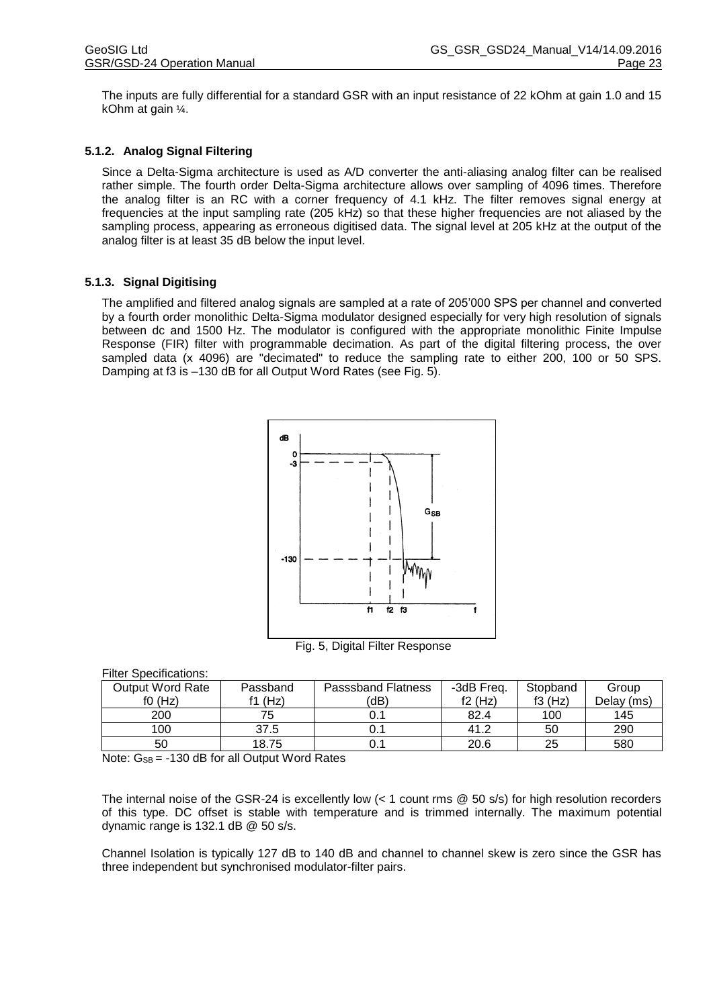The inputs are fully differential for a standard GSR with an input resistance of 22 kOhm at gain 1.0 and 15 kOhm at gain ¼.

#### **5.1.2. Analog Signal Filtering**

Since a Delta-Sigma architecture is used as A/D converter the anti-aliasing analog filter can be realised rather simple. The fourth order Delta-Sigma architecture allows over sampling of 4096 times. Therefore the analog filter is an RC with a corner frequency of 4.1 kHz. The filter removes signal energy at frequencies at the input sampling rate (205 kHz) so that these higher frequencies are not aliased by the sampling process, appearing as erroneous digitised data. The signal level at 205 kHz at the output of the analog filter is at least 35 dB below the input level.

#### **5.1.3. Signal Digitising**

The amplified and filtered analog signals are sampled at a rate of 205'000 SPS per channel and converted by a fourth order monolithic Delta-Sigma modulator designed especially for very high resolution of signals between dc and 1500 Hz. The modulator is configured with the appropriate monolithic Finite Impulse Response (FIR) filter with programmable decimation. As part of the digital filtering process, the over sampled data (x 4096) are "decimated" to reduce the sampling rate to either 200, 100 or 50 SPS. Damping at f3 is –130 dB for all Output Word Rates (see Fig. 5).



Fig. 5, Digital Filter Response

| <b>Filter Specifications:</b> |
|-------------------------------|
|-------------------------------|

| <b>Output Word Rate</b> | Passband | <b>Passsband Flatness</b> | -3dB Freq. | Stopband  | Group      |
|-------------------------|----------|---------------------------|------------|-----------|------------|
| f(0(Hz))                | f1 (Hz)  | (dB)                      | f2(Hz)     | f3 $(Hz)$ | Delay (ms) |
| 200                     | 75       | υ.                        | 82.4       | 100       | 145        |
| 100                     | 37.5     | 0.1                       | 41.2       | 50        | 290        |
| 50                      | 18.75    | 0.                        | 20.6       | 25        | 580        |

Note:  $G_{SB} = -130$  dB for all Output Word Rates

The internal noise of the GSR-24 is excellently low (< 1 count rms @ 50 s/s) for high resolution recorders of this type. DC offset is stable with temperature and is trimmed internally. The maximum potential dynamic range is 132.1 dB @ 50 s/s.

Channel Isolation is typically 127 dB to 140 dB and channel to channel skew is zero since the GSR has three independent but synchronised modulator-filter pairs.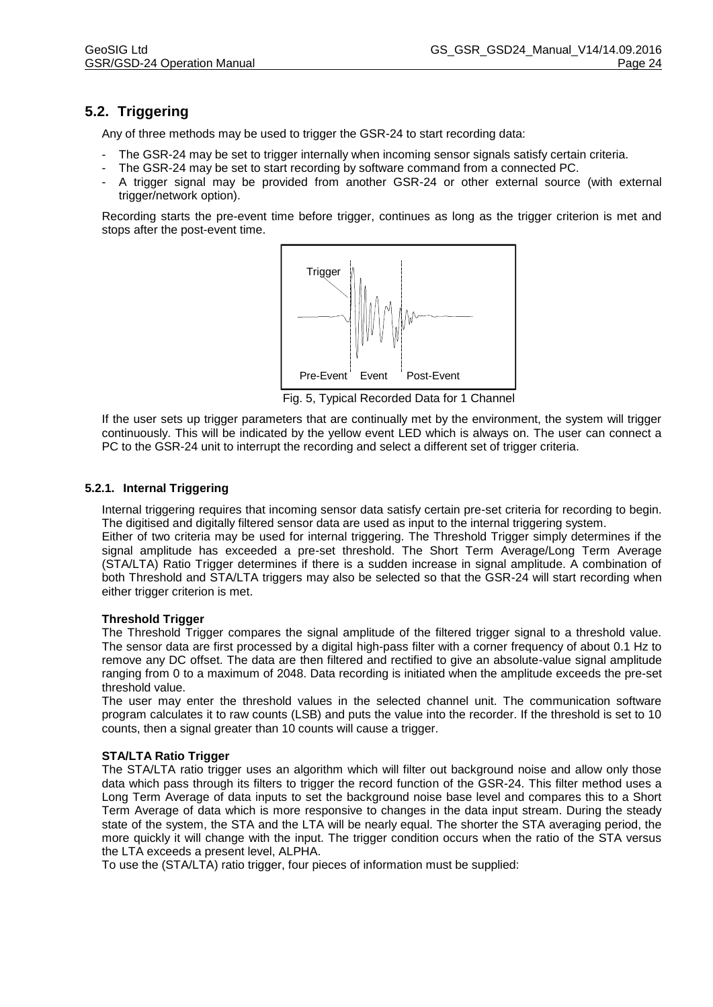# **5.2. Triggering**

Any of three methods may be used to trigger the GSR-24 to start recording data:

- The GSR-24 may be set to trigger internally when incoming sensor signals satisfy certain criteria.
- The GSR-24 may be set to start recording by software command from a connected PC.
- A trigger signal may be provided from another GSR-24 or other external source (with external trigger/network option).

Recording starts the pre-event time before trigger, continues as long as the trigger criterion is met and stops after the post-event time.



Tig. 5, Typical Recorded Data for 1 Channel

If the user sets up trigger parameters that are continually met by the environment, the system will trigger continuously. This will be indicated by the yellow event LED which is always on. The user can connect a PC to the GSR-24 unit to interrupt the recording and select a different set of trigger criteria.

## **5.2.1. Internal Triggering**

Internal triggering requires that incoming sensor data satisfy certain pre-set criteria for recording to begin. The digitised and digitally filtered sensor data are used as input to the internal triggering system. Either of two criteria may be used for internal triggering. The Threshold Trigger simply determines if the signal amplitude has exceeded a pre-set threshold. The Short Term Average/Long Term Average (STA/LTA) Ratio Trigger determines if there is a sudden increase in signal amplitude. A combination of both Threshold and STA/LTA triggers may also be selected so that the GSR-24 will start recording when either trigger criterion is met.

#### **Threshold Trigger**

The Threshold Trigger compares the signal amplitude of the filtered trigger signal to a threshold value. The sensor data are first processed by a digital high-pass filter with a corner frequency of about 0.1 Hz to remove any DC offset. The data are then filtered and rectified to give an absolute-value signal amplitude ranging from 0 to a maximum of 2048. Data recording is initiated when the amplitude exceeds the pre-set threshold value.

The user may enter the threshold values in the selected channel unit. The communication software program calculates it to raw counts (LSB) and puts the value into the recorder. If the threshold is set to 10 counts, then a signal greater than 10 counts will cause a trigger.

#### **STA/LTA Ratio Trigger**

The STA/LTA ratio trigger uses an algorithm which will filter out background noise and allow only those data which pass through its filters to trigger the record function of the GSR-24. This filter method uses a Long Term Average of data inputs to set the background noise base level and compares this to a Short Term Average of data which is more responsive to changes in the data input stream. During the steady state of the system, the STA and the LTA will be nearly equal. The shorter the STA averaging period, the more quickly it will change with the input. The trigger condition occurs when the ratio of the STA versus the LTA exceeds a present level, ALPHA.

To use the (STA/LTA) ratio trigger, four pieces of information must be supplied: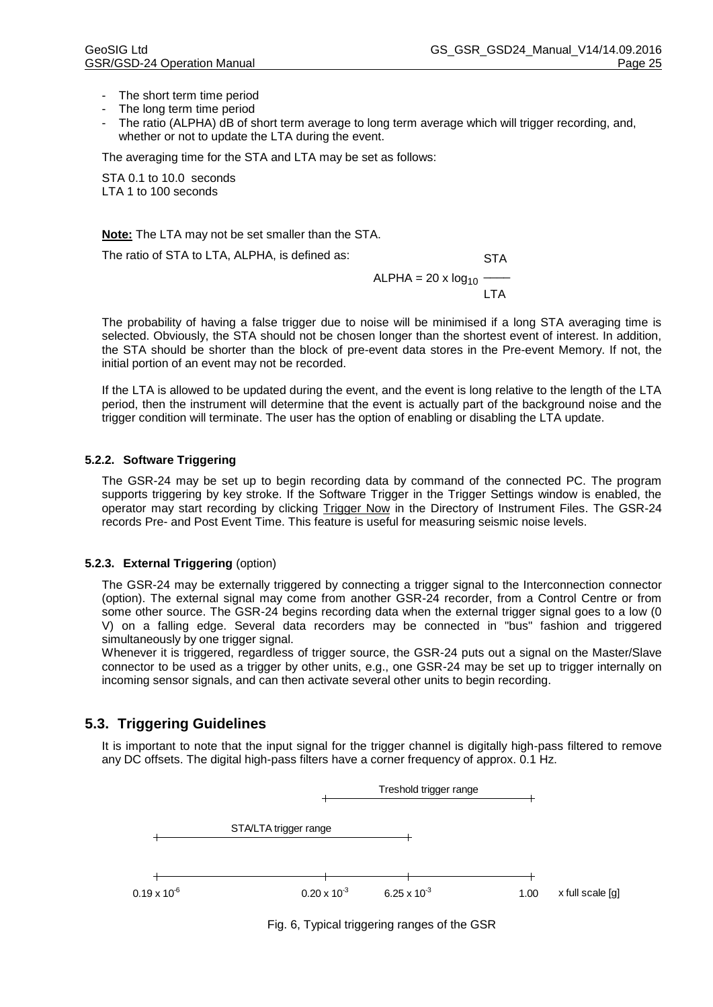- The short term time period
- The long term time period
- The ratio (ALPHA) dB of short term average to long term average which will trigger recording, and, whether or not to update the LTA during the event.

The averaging time for the STA and LTA may be set as follows:

STA 0.1 to 10.0 seconds LTA 1 to 100 seconds

**Note:** The LTA may not be set smaller than the STA.

The ratio of STA to LTA, ALPHA, is defined as: STA

 $ALPHA = 20 x log<sub>10</sub>$  $\overline{\phantom{a}}$ LTA

The probability of having a false trigger due to noise will be minimised if a long STA averaging time is selected. Obviously, the STA should not be chosen longer than the shortest event of interest. In addition, the STA should be shorter than the block of pre-event data stores in the Pre-event Memory. If not, the initial portion of an event may not be recorded.

If the LTA is allowed to be updated during the event, and the event is long relative to the length of the LTA period, then the instrument will determine that the event is actually part of the background noise and the trigger condition will terminate. The user has the option of enabling or disabling the LTA update.

#### **5.2.2. Software Triggering**

The GSR-24 may be set up to begin recording data by command of the connected PC. The program supports triggering by key stroke. If the Software Trigger in the Trigger Settings window is enabled, the operator may start recording by clicking Trigger Now in the Directory of Instrument Files. The GSR-24 records Pre- and Post Event Time. This feature is useful for measuring seismic noise levels.

#### **5.2.3. External Triggering** (option)

The GSR-24 may be externally triggered by connecting a trigger signal to the Interconnection connector (option). The external signal may come from another GSR-24 recorder, from a Control Centre or from some other source. The GSR-24 begins recording data when the external trigger signal goes to a low (0 V) on a falling edge. Several data recorders may be connected in "bus" fashion and triggered simultaneously by one trigger signal.

Whenever it is triggered, regardless of trigger source, the GSR-24 puts out a signal on the Master/Slave connector to be used as a trigger by other units, e.g., one GSR-24 may be set up to trigger internally on incoming sensor signals, and can then activate several other units to begin recording.

# <span id="page-29-0"></span>**5.3. Triggering Guidelines**

It is important to note that the input signal for the trigger channel is digitally high-pass filtered to remove any DC offsets. The digital high-pass filters have a corner frequency of approx. 0.1 Hz.



Fig. 6, Typical triggering ranges of the GSR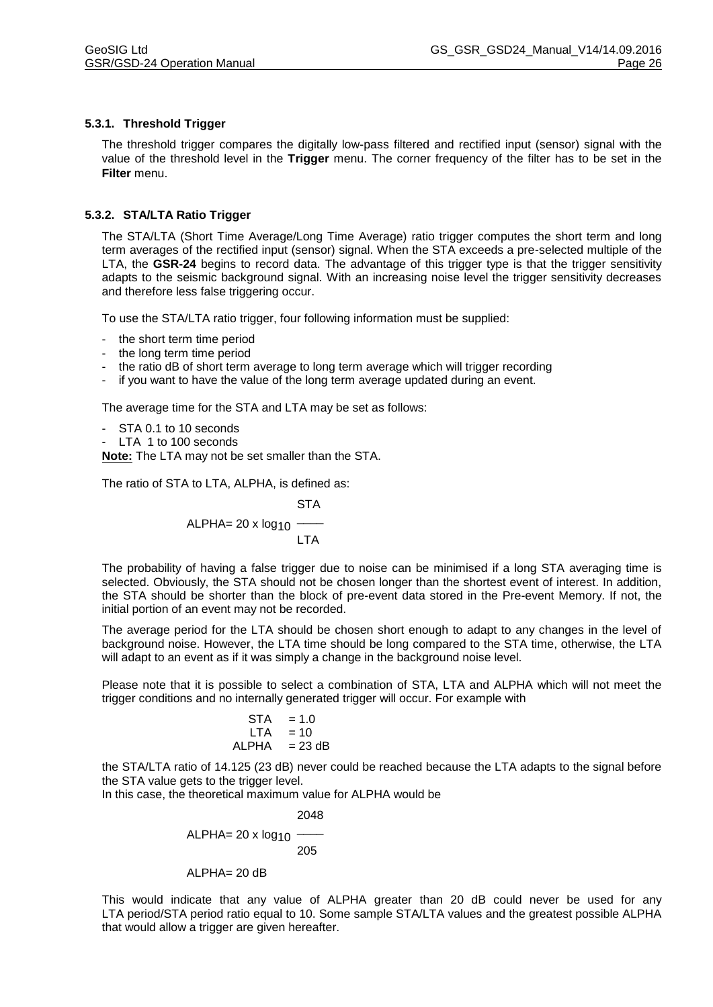## **5.3.1. Threshold Trigger**

The threshold trigger compares the digitally low-pass filtered and rectified input (sensor) signal with the value of the threshold level in the **Trigger** menu. The corner frequency of the filter has to be set in the **Filter** menu.

### **5.3.2. STA/LTA Ratio Trigger**

The STA/LTA (Short Time Average/Long Time Average) ratio trigger computes the short term and long term averages of the rectified input (sensor) signal. When the STA exceeds a pre-selected multiple of the LTA, the **GSR-24** begins to record data. The advantage of this trigger type is that the trigger sensitivity adapts to the seismic background signal. With an increasing noise level the trigger sensitivity decreases and therefore less false triggering occur.

To use the STA/LTA ratio trigger, four following information must be supplied:

- the short term time period
- the long term time period
- the ratio dB of short term average to long term average which will trigger recording
- if you want to have the value of the long term average updated during an event.

The average time for the STA and LTA may be set as follows:

- STA 0.1 to 10 seconds
- LTA 1 to 100 seconds

**Note:** The LTA may not be set smaller than the STA.

The ratio of STA to LTA, ALPHA, is defined as:

**STA** 

$$
ALPHA = 20 \times log_{10} \frac{1}{LTA}
$$

The probability of having a false trigger due to noise can be minimised if a long STA averaging time is selected. Obviously, the STA should not be chosen longer than the shortest event of interest. In addition, the STA should be shorter than the block of pre-event data stored in the Pre-event Memory. If not, the initial portion of an event may not be recorded.

The average period for the LTA should be chosen short enough to adapt to any changes in the level of background noise. However, the LTA time should be long compared to the STA time, otherwise, the LTA will adapt to an event as if it was simply a change in the background noise level.

Please note that it is possible to select a combination of STA, LTA and ALPHA which will not meet the trigger conditions and no internally generated trigger will occur. For example with

$$
STA = 1.0
$$
  
LTA = 10  
ALPHA = 23 dB

the STA/LTA ratio of 14.125 (23 dB) never could be reached because the LTA adapts to the signal before the STA value gets to the trigger level.

In this case, the theoretical maximum value for ALPHA would be

$$
ALPHA = 20 \times log_{10} \frac{2048}{205}
$$

 $ALPHA = 20 dB$ 

This would indicate that any value of ALPHA greater than 20 dB could never be used for any LTA period/STA period ratio equal to 10. Some sample STA/LTA values and the greatest possible ALPHA that would allow a trigger are given hereafter.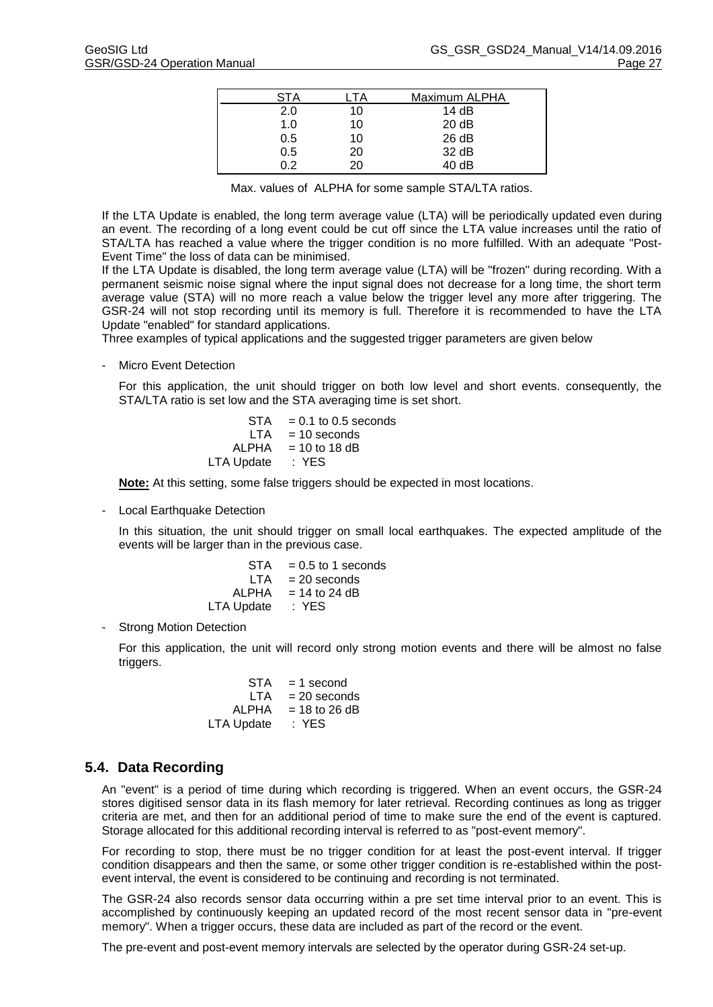| STA | TA | Maximum ALPHA |  |
|-----|----|---------------|--|
| 2.0 | 10 | 14 $dB$       |  |
| 1.0 | 10 | 20 dB         |  |
| 0.5 | 10 | 26 dB         |  |
| 0.5 | 20 | 32 dB         |  |
| በ 2 | 20 | 40dB          |  |

Max. values of ALPHA for some sample STA/LTA ratios.

If the LTA Update is enabled, the long term average value (LTA) will be periodically updated even during an event. The recording of a long event could be cut off since the LTA value increases until the ratio of STA/LTA has reached a value where the trigger condition is no more fulfilled. With an adequate "Post-Event Time" the loss of data can be minimised.

If the LTA Update is disabled, the long term average value (LTA) will be "frozen" during recording. With a permanent seismic noise signal where the input signal does not decrease for a long time, the short term average value (STA) will no more reach a value below the trigger level any more after triggering. The GSR-24 will not stop recording until its memory is full. Therefore it is recommended to have the LTA Update "enabled" for standard applications.

Three examples of typical applications and the suggested trigger parameters are given below

- Micro Event Detection

For this application, the unit should trigger on both low level and short events. consequently, the STA/LTA ratio is set low and the STA averaging time is set short.

> $STA = 0.1$  to 0.5 seconds  $LTA = 10$  seconds  $ALPHA = 10$  to 18 dB LTA Update : YES

**Note:** At this setting, some false triggers should be expected in most locations.

- Local Earthquake Detection

In this situation, the unit should trigger on small local earthquakes. The expected amplitude of the events will be larger than in the previous case.

| STA        | $= 0.5$ to 1 seconds |
|------------|----------------------|
| LTA        | $= 20$ seconds       |
| ALPHA      | $= 14$ to 24 dB      |
| LTA Update | : YES                |

- Strong Motion Detection

For this application, the unit will record only strong motion events and there will be almost no false triggers.

| STA        | $= 1$ second    |
|------------|-----------------|
| LTA        | $= 20$ seconds  |
| ALPHA      | $= 18$ to 26 dB |
| LTA Update | : YES           |

#### **5.4. Data Recording**

An "event" is a period of time during which recording is triggered. When an event occurs, the GSR-24 stores digitised sensor data in its flash memory for later retrieval. Recording continues as long as trigger criteria are met, and then for an additional period of time to make sure the end of the event is captured. Storage allocated for this additional recording interval is referred to as "post-event memory".

For recording to stop, there must be no trigger condition for at least the post-event interval. If trigger condition disappears and then the same, or some other trigger condition is re-established within the postevent interval, the event is considered to be continuing and recording is not terminated.

The GSR-24 also records sensor data occurring within a pre set time interval prior to an event. This is accomplished by continuously keeping an updated record of the most recent sensor data in "pre-event memory". When a trigger occurs, these data are included as part of the record or the event.

The pre-event and post-event memory intervals are selected by the operator during GSR-24 set-up.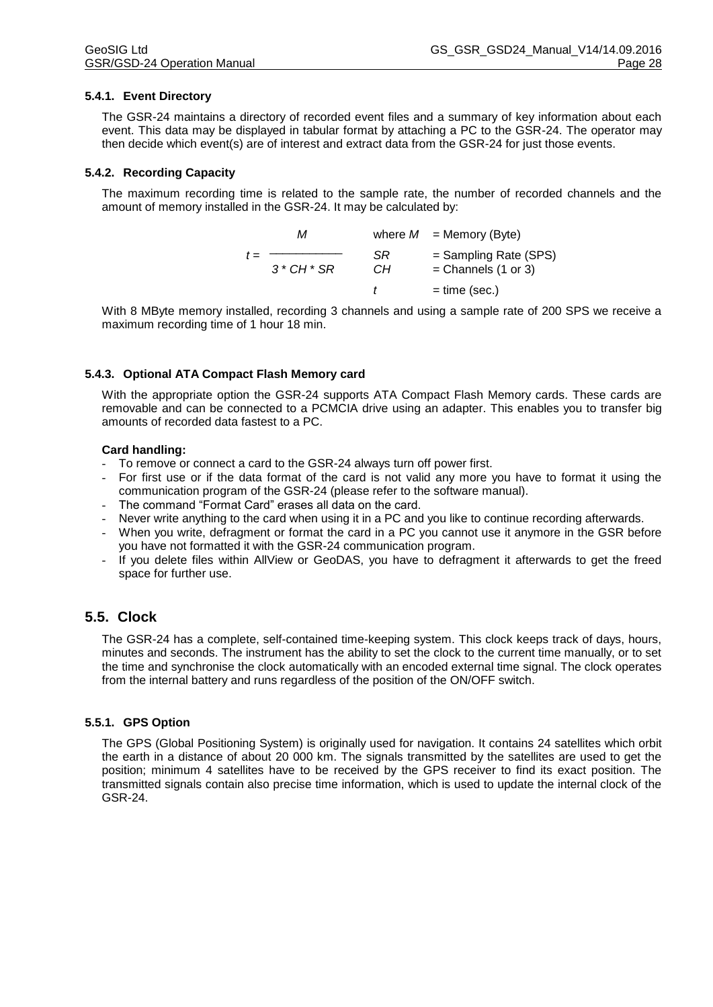#### **5.4.1. Event Directory**

The GSR-24 maintains a directory of recorded event files and a summary of key information about each event. This data may be displayed in tabular format by attaching a PC to the GSR-24. The operator may then decide which event(s) are of interest and extract data from the GSR-24 for just those events.

#### **5.4.2. Recording Capacity**

The maximum recording time is related to the sample rate, the number of recorded channels and the amount of memory installed in the GSR-24. It may be calculated by:

|       | м         |          | where $M =$ Memory (Byte)                        |
|-------|-----------|----------|--------------------------------------------------|
| $t =$ | $3*CH*SR$ | SR<br>CН | $=$ Sampling Rate (SPS)<br>$=$ Channels (1 or 3) |
|       |           |          | $=$ time (sec.)                                  |

With 8 MByte memory installed, recording 3 channels and using a sample rate of 200 SPS we receive a maximum recording time of 1 hour 18 min.

#### **5.4.3. Optional ATA Compact Flash Memory card**

With the appropriate option the GSR-24 supports ATA Compact Flash Memory cards. These cards are removable and can be connected to a PCMCIA drive using an adapter. This enables you to transfer big amounts of recorded data fastest to a PC.

#### **Card handling:**

- To remove or connect a card to the GSR-24 always turn off power first.
- For first use or if the data format of the card is not valid any more you have to format it using the communication program of the GSR-24 (please refer to the software manual).
- The command "Format Card" erases all data on the card.
- Never write anything to the card when using it in a PC and you like to continue recording afterwards.
- When you write, defragment or format the card in a PC you cannot use it anymore in the GSR before you have not formatted it with the GSR-24 communication program.
- If you delete files within AllView or GeoDAS, you have to defragment it afterwards to get the freed space for further use.

# **5.5. Clock**

The GSR-24 has a complete, self-contained time-keeping system. This clock keeps track of days, hours, minutes and seconds. The instrument has the ability to set the clock to the current time manually, or to set the time and synchronise the clock automatically with an encoded external time signal. The clock operates from the internal battery and runs regardless of the position of the ON/OFF switch.

#### **5.5.1. GPS Option**

The GPS (Global Positioning System) is originally used for navigation. It contains 24 satellites which orbit the earth in a distance of about 20 000 km. The signals transmitted by the satellites are used to get the position; minimum 4 satellites have to be received by the GPS receiver to find its exact position. The transmitted signals contain also precise time information, which is used to update the internal clock of the GSR-24.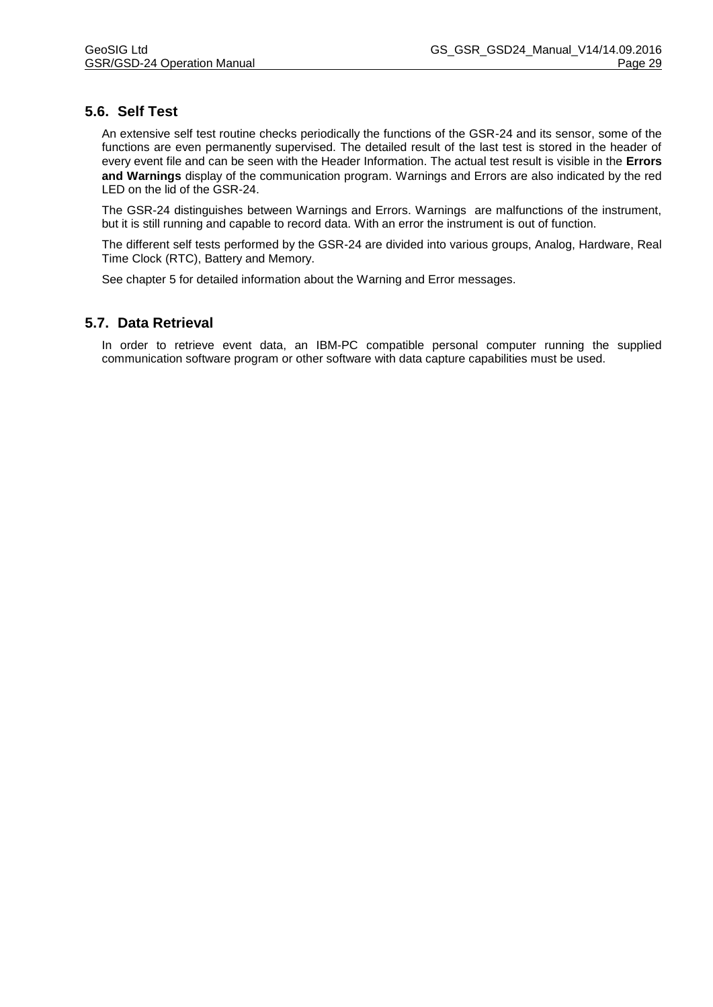# **5.6. Self Test**

An extensive self test routine checks periodically the functions of the GSR-24 and its sensor, some of the functions are even permanently supervised. The detailed result of the last test is stored in the header of every event file and can be seen with the Header Information. The actual test result is visible in the **Errors and Warnings** display of the communication program. Warnings and Errors are also indicated by the red LED on the lid of the GSR-24.

The GSR-24 distinguishes between Warnings and Errors. Warnings are malfunctions of the instrument, but it is still running and capable to record data. With an error the instrument is out of function.

The different self tests performed by the GSR-24 are divided into various groups, Analog, Hardware, Real Time Clock (RTC), Battery and Memory.

See chapter 5 for detailed information about the Warning and Error messages.

# **5.7. Data Retrieval**

In order to retrieve event data, an IBM-PC compatible personal computer running the supplied communication software program or other software with data capture capabilities must be used.